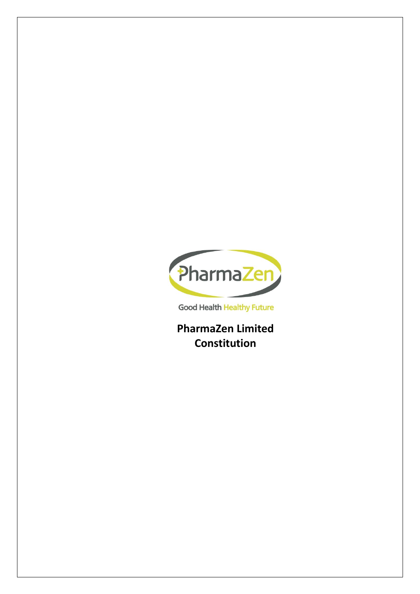

**Good Health Healthy Future** 

**PharmaZen Limited Constitution**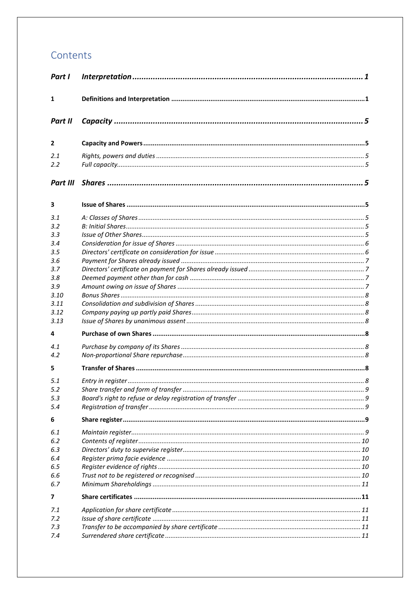# Contents

| Part I         |  |
|----------------|--|
| 1              |  |
| Part II        |  |
| $\mathbf{2}$   |  |
| 2.1<br>2.2     |  |
| Part III       |  |
| 3              |  |
| 3.1            |  |
| 3.2            |  |
| 3.3            |  |
| 3.4            |  |
| 3.5            |  |
| 3.6            |  |
| 3.7            |  |
| 3.8            |  |
| 3.9            |  |
| 3.10           |  |
| 3.11           |  |
| 3.12           |  |
| 3.13           |  |
| 4              |  |
| 4.1            |  |
| 4.2            |  |
| 5              |  |
| 5.1            |  |
| 5.2            |  |
| 5.3            |  |
| 5.4            |  |
|                |  |
| 6              |  |
| 6.1            |  |
| 6.2            |  |
| 6.3            |  |
| 6.4            |  |
| 6.5            |  |
| 6.6            |  |
| 6.7            |  |
| $\overline{7}$ |  |
| 7.1            |  |
| 7.2            |  |
| 7.3            |  |
| 7.4            |  |
|                |  |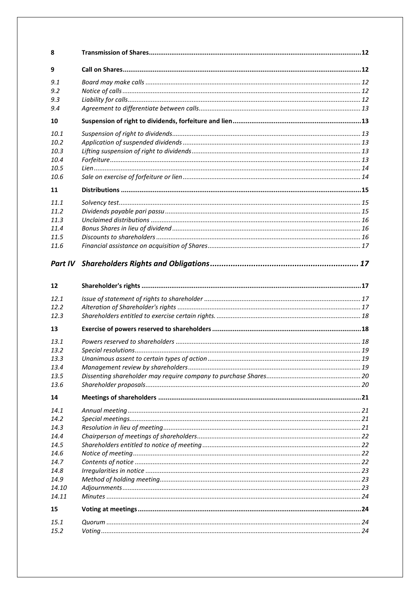| 8     |  |
|-------|--|
| 9     |  |
| 9.1   |  |
| 9.2   |  |
| 9.3   |  |
| 9.4   |  |
| 10    |  |
| 10.1  |  |
| 10.2  |  |
| 10.3  |  |
| 10.4  |  |
| 10.5  |  |
| 10.6  |  |
| 11    |  |
| 11.1  |  |
| 11.2  |  |
| 11.3  |  |
| 11.4  |  |
| 11.5  |  |
| 11.6  |  |
|       |  |
|       |  |
| 12    |  |
| 12.1  |  |
| 12.2  |  |
| 12.3  |  |
| 13    |  |
| 13.1  |  |
| 13.2  |  |
| 13.3  |  |
| 13.4  |  |
| 13.5  |  |
| 13.6  |  |
| 14    |  |
| 14.1  |  |
| 14.2  |  |
| 14.3  |  |
| 14.4  |  |
| 14.5  |  |
| 14.6  |  |
| 14.7  |  |
| 14.8  |  |
| 14.9  |  |
| 14.10 |  |
| 14.11 |  |
| 15    |  |
| 15.1  |  |
| 15.2  |  |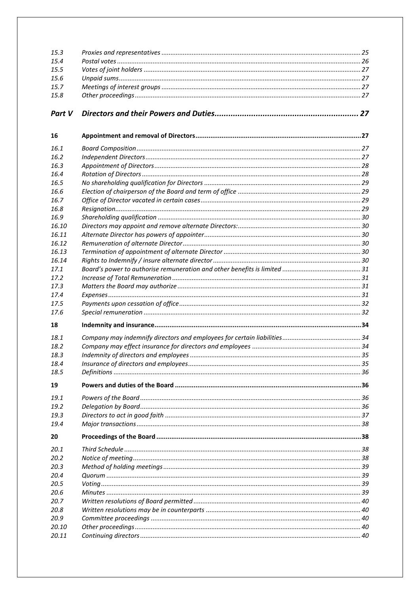| 15.3   |  |
|--------|--|
| 15.4   |  |
| 15.5   |  |
| 15.6   |  |
| 15.7   |  |
| 15.8   |  |
|        |  |
| Part V |  |
| 16     |  |
| 16.1   |  |
| 16.2   |  |
| 16.3   |  |
| 16.4   |  |
| 16.5   |  |
| 16.6   |  |
| 16.7   |  |
| 16.8   |  |
| 16.9   |  |
| 16.10  |  |
| 16.11  |  |
| 16.12  |  |
| 16.13  |  |
| 16.14  |  |
| 17.1   |  |
| 17.2   |  |
| 17.3   |  |
| 17.4   |  |
| 17.5   |  |
| 17.6   |  |
| 18     |  |
| 18.1   |  |
| 18.2   |  |
| 18.3   |  |
| 18.4   |  |
| 18.5   |  |
| 19     |  |
| 19.1   |  |
| 19.2   |  |
| 19.3   |  |
| 19.4   |  |
| 20     |  |
| 20.1   |  |
| 20.2   |  |
| 20.3   |  |
| 20.4   |  |
| 20.5   |  |
| 20.6   |  |
| 20.7   |  |
| 20.8   |  |
| 20.9   |  |
| 20.10  |  |
| 20.11  |  |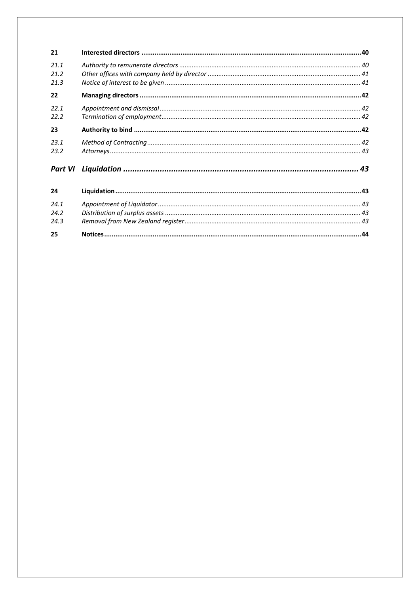| 21      |  |
|---------|--|
| 21.1    |  |
| 21.2    |  |
| 21.3    |  |
| 22      |  |
| 22.1    |  |
| 22.2    |  |
| 23      |  |
| 23.1    |  |
| 23.2    |  |
| Part VI |  |
|         |  |
| 24      |  |
| 24.1    |  |
| 24.2    |  |
| 24.3    |  |
| 25      |  |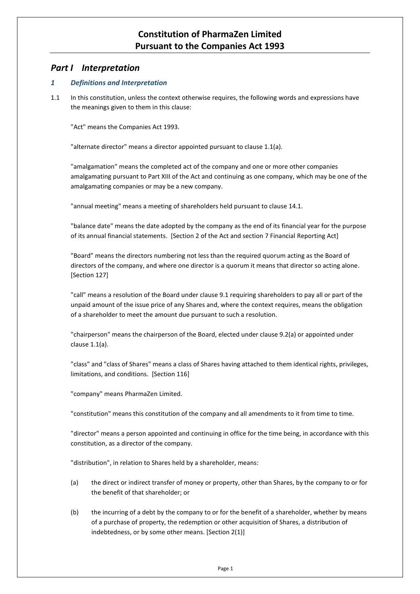## **Constitution of PharmaZen Limited Pursuant to the Companies Act 1993**

## <span id="page-5-0"></span>*Part I Interpretation*

## <span id="page-5-1"></span>*1 Definitions and Interpretation*

1.1 In this constitution, unless the context otherwise requires, the following words and expressions have the meanings given to them in this clause:

"Act" means the Companies Act 1993.

"alternate director" means a director appointed pursuant to clause [1.1\(a\).](#page-37-0)

"amalgamation" means the completed act of the company and one or more other companies amalgamating pursuant to Part XIII of the Act and continuing as one company, which may be one of the amalgamating companies or may be a new company.

"annual meeting" means a meeting of shareholders held pursuant to clause [14.1.](#page-25-1)

"balance date" means the date adopted by the company as the end of its financial year for the purpose of its annual financial statements. [Section 2 of the Act and section 7 Financial Reporting Act]

"Board" means the directors numbering not less than the required quorum acting as the Board of directors of the company, and where one director is a quorum it means that director so acting alone. [Section 127]

"call" means a resolution of the Board under claus[e 9.1](#page-16-2) requiring shareholders to pay all or part of the unpaid amount of the issue price of any Shares and, where the context requires, means the obligation of a shareholder to meet the amount due pursuant to such a resolution.

"chairperson" means the chairperson of the Board, elected under claus[e 9.2\(a\)](#page-16-5) or appointed under clause [1.1\(a\).](#page-42-4)

"class" and "class of Shares" means a class of Shares having attached to them identical rights, privileges, limitations, and conditions. [Section 116]

"company" means PharmaZen Limited.

"constitution" means this constitution of the company and all amendments to it from time to time.

"director" means a person appointed and continuing in office for the time being, in accordance with this constitution, as a director of the company.

"distribution", in relation to Shares held by a shareholder, means:

- (a) the direct or indirect transfer of money or property, other than Shares, by the company to or for the benefit of that shareholder; or
- (b) the incurring of a debt by the company to or for the benefit of a shareholder, whether by means of a purchase of property, the redemption or other acquisition of Shares, a distribution of indebtedness, or by some other means. [Section 2(1)]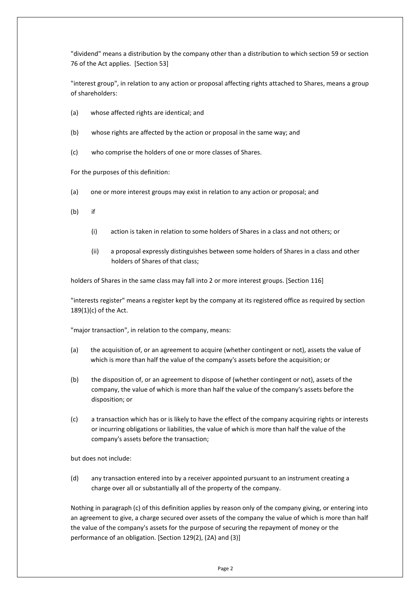"dividend" means a distribution by the company other than a distribution to which section 59 or section 76 of the Act applies. [Section 53]

"interest group", in relation to any action or proposal affecting rights attached to Shares, means a group of shareholders:

- (a) whose affected rights are identical; and
- (b) whose rights are affected by the action or proposal in the same way; and
- (c) who comprise the holders of one or more classes of Shares.

For the purposes of this definition:

- (a) one or more interest groups may exist in relation to any action or proposal; and
- (b) if
	- (i) action is taken in relation to some holders of Shares in a class and not others; or
	- (ii) a proposal expressly distinguishes between some holders of Shares in a class and other holders of Shares of that class;

holders of Shares in the same class may fall into 2 or more interest groups. [Section 116]

"interests register" means a register kept by the company at its registered office as required by section 189(1)(c) of the Act.

"major transaction", in relation to the company, means:

- (a) the acquisition of, or an agreement to acquire (whether contingent or not), assets the value of which is more than half the value of the company's assets before the acquisition; or
- (b) the disposition of, or an agreement to dispose of (whether contingent or not), assets of the company, the value of which is more than half the value of the company's assets before the disposition; or
- (c) a transaction which has or is likely to have the effect of the company acquiring rights or interests or incurring obligations or liabilities, the value of which is more than half the value of the company's assets before the transaction;

but does not include:

(d) any transaction entered into by a receiver appointed pursuant to an instrument creating a charge over all or substantially all of the property of the company.

Nothing in paragraph (c) of this definition applies by reason only of the company giving, or entering into an agreement to give, a charge secured over assets of the company the value of which is more than half the value of the company's assets for the purpose of securing the repayment of money or the performance of an obligation. [Section 129(2), (2A) and (3)]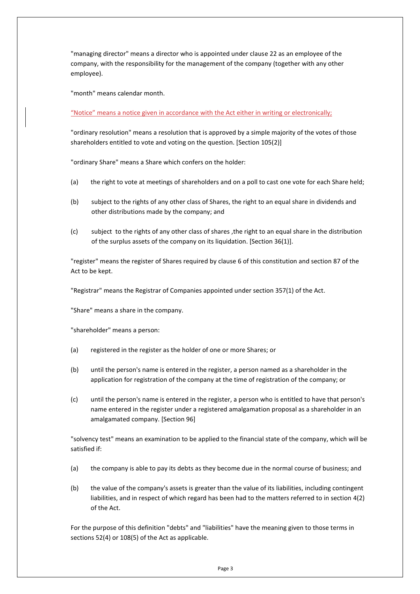"managing director" means a director who is appointed under claus[e 22](#page-46-0) as an employee of the company, with the responsibility for the management of the company (together with any other employee).

"month" means calendar month.

"Notice" means a notice given in accordance with the Act either in writing or electronically;

"ordinary resolution" means a resolution that is approved by a simple majority of the votes of those shareholders entitled to vote and voting on the question. [Section 105(2)]

"ordinary Share" means a Share which confers on the holder:

- (a) the right to vote at meetings of shareholders and on a poll to cast one vote for each Share held;
- (b) subject to the rights of any other class of Shares, the right to an equal share in dividends and other distributions made by the company; and
- (c) subject to the rights of any other class of shares ,the right to an equal share in the distribution of the surplus assets of the company on its liquidation. [Section 36(1)].

"register" means the register of Shares required by clause [6](#page-13-3) of this constitution and section 87 of the Act to be kept.

"Registrar" means the Registrar of Companies appointed under section 357(1) of the Act.

"Share" means a share in the company.

"shareholder" means a person:

- (a) registered in the register as the holder of one or more Shares; or
- (b) until the person's name is entered in the register, a person named as a shareholder in the application for registration of the company at the time of registration of the company; or
- (c) until the person's name is entered in the register, a person who is entitled to have that person's name entered in the register under a registered amalgamation proposal as a shareholder in an amalgamated company. [Section 96]

"solvency test" means an examination to be applied to the financial state of the company, which will be satisfied if:

- (a) the company is able to pay its debts as they become due in the normal course of business; and
- (b) the value of the company's assets is greater than the value of its liabilities, including contingent liabilities, and in respect of which regard has been had to the matters referred to in section 4(2) of the Act.

For the purpose of this definition "debts" and "liabilities" have the meaning given to those terms in sections 52(4) or 108(5) of the Act as applicable.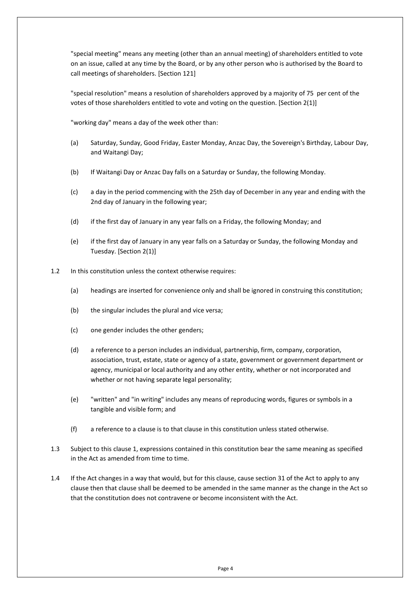"special meeting" means any meeting (other than an annual meeting) of shareholders entitled to vote on an issue, called at any time by the Board, or by any other person who is authorised by the Board to call meetings of shareholders. [Section 121]

"special resolution" means a resolution of shareholders approved by a majority of 75 per cent of the votes of those shareholders entitled to vote and voting on the question. [Section 2(1)]

"working day" means a day of the week other than:

- (a) Saturday, Sunday, Good Friday, Easter Monday, Anzac Day, the Sovereign's Birthday, Labour Day, and Waitangi Day;
- (b) If Waitangi Day or Anzac Day falls on a Saturday or Sunday, the following Monday.
- (c) a day in the period commencing with the 25th day of December in any year and ending with the 2nd day of January in the following year;
- (d) if the first day of January in any year falls on a Friday, the following Monday; and
- (e) if the first day of January in any year falls on a Saturday or Sunday, the following Monday and Tuesday. [Section 2(1)]
- 1.2 In this constitution unless the context otherwise requires:
	- (a) headings are inserted for convenience only and shall be ignored in construing this constitution;
	- (b) the singular includes the plural and vice versa;
	- (c) one gender includes the other genders;
	- (d) a reference to a person includes an individual, partnership, firm, company, corporation, association, trust, estate, state or agency of a state, government or government department or agency, municipal or local authority and any other entity, whether or not incorporated and whether or not having separate legal personality;
	- (e) "written" and "in writing" includes any means of reproducing words, figures or symbols in a tangible and visible form; and
	- (f) a reference to a clause is to that clause in this constitution unless stated otherwise.
- 1.3 Subject to this claus[e 1,](#page-5-1) expressions contained in this constitution bear the same meaning as specified in the Act as amended from time to time.
- 1.4 If the Act changes in a way that would, but for this clause, cause section 31 of the Act to apply to any clause then that clause shall be deemed to be amended in the same manner as the change in the Act so that the constitution does not contravene or become inconsistent with the Act.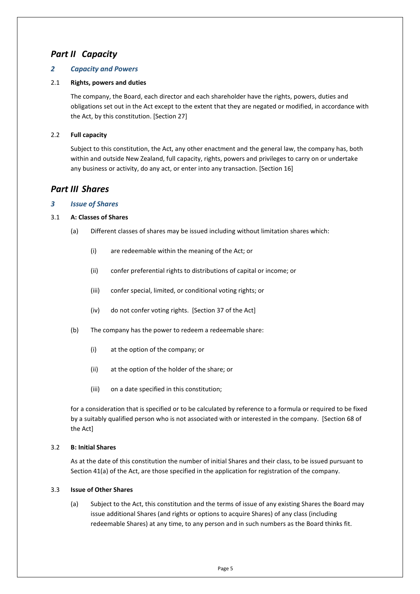## <span id="page-9-0"></span>*Part II Capacity*

## <span id="page-9-1"></span>*2 Capacity and Powers*

## <span id="page-9-2"></span>2.1 **Rights, powers and duties**

The company, the Board, each director and each shareholder have the rights, powers, duties and obligations set out in the Act except to the extent that they are negated or modified, in accordance with the Act, by this constitution. [Section 27]

### <span id="page-9-3"></span>2.2 **Full capacity**

Subject to this constitution, the Act, any other enactment and the general law, the company has, both within and outside New Zealand, full capacity, rights, powers and privileges to carry on or undertake any business or activity, do any act, or enter into any transaction. [Section 16]

## <span id="page-9-4"></span>*Part III Shares*

## <span id="page-9-5"></span>*3 Issue of Shares*

## <span id="page-9-6"></span>3.1 **A: Classes of Shares**

- (a) Different classes of shares may be issued including without limitation shares which:
	- (i) are redeemable within the meaning of the Act; or
	- (ii) confer preferential rights to distributions of capital or income; or
	- (iii) confer special, limited, or conditional voting rights; or
	- (iv) do not confer voting rights. [Section 37 of the Act]
- (b) The company has the power to redeem a redeemable share:
	- (i) at the option of the company; or
	- (ii) at the option of the holder of the share; or
	- (iii) on a date specified in this constitution;

for a consideration that is specified or to be calculated by reference to a formula or required to be fixed by a suitably qualified person who is not associated with or interested in the company. [Section 68 of the Act]

#### <span id="page-9-7"></span>3.2 **B: Initial Shares**

As at the date of this constitution the number of initial Shares and their class, to be issued pursuant to Section 41(a) of the Act, are those specified in the application for registration of the company.

#### <span id="page-9-9"></span><span id="page-9-8"></span>3.3 **Issue of Other Shares**

(a) Subject to the Act, this constitution and the terms of issue of any existing Shares the Board may issue additional Shares (and rights or options to acquire Shares) of any class (including redeemable Shares) at any time, to any person and in such numbers as the Board thinks fit.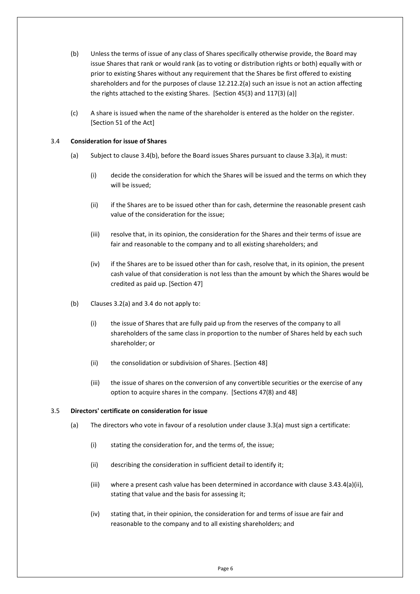- (b) Unless the terms of issue of any class of Shares specifically otherwise provide, the Board may issue Shares that rank or would rank (as to voting or distribution rights or both) equally with or prior to existing Shares without any requirement that the Shares be first offered to existing shareholders and for the purposes of clause [12.2](#page-21-4)[12.2\(a\)](#page-21-5) such an issue is not an action affecting the rights attached to the existing Shares. [Section 45(3) and 117(3) (a)]
- (c) A share is issued when the name of the shareholder is entered as the holder on the register. [Section 51 of the Act]

#### <span id="page-10-0"></span>3.4 **Consideration for issue of Shares**

- <span id="page-10-3"></span>(a) Subject to clause [3.4](#page-10-0)[\(b\),](#page-10-2) before the Board issues Shares pursuant to clause [3.3\(a\),](#page-9-9) it must:
	- (i) decide the consideration for which the Shares will be issued and the terms on which they will be issued;
	- (ii) if the Shares are to be issued other than for cash, determine the reasonable present cash value of the consideration for the issue;
	- (iii) resolve that, in its opinion, the consideration for the Shares and their terms of issue are fair and reasonable to the company and to all existing shareholders; and
	- (iv) if the Shares are to be issued other than for cash, resolve that, in its opinion, the present cash value of that consideration is not less than the amount by which the Shares would be credited as paid up. [Section 47]
- <span id="page-10-2"></span>(b) Clauses 3.2(a) and 3.4 do not apply to:
	- (i) the issue of Shares that are fully paid up from the reserves of the company to all shareholders of the same class in proportion to the number of Shares held by each such shareholder; or
	- (ii) the consolidation or subdivision of Shares. [Section 48]
	- (iii) the issue of shares on the conversion of any convertible securities or the exercise of any option to acquire shares in the company. [Sections 47(8) and 48]

#### <span id="page-10-4"></span><span id="page-10-1"></span>3.5 **Directors' certificate on consideration for issue**

- (a) The directors who vote in favour of a resolution under clause [3.3\(a\)](#page-9-9) must sign a certificate:
	- (i) stating the consideration for, and the terms of, the issue;
	- (ii) describing the consideration in sufficient detail to identify it;
	- (iii) where a present cash value has been determined in accordance with clause [3.4](#page-10-0)[3.4\(a\)\(ii\),](#page-10-3) stating that value and the basis for assessing it;
	- (iv) stating that, in their opinion, the consideration for and terms of issue are fair and reasonable to the company and to all existing shareholders; and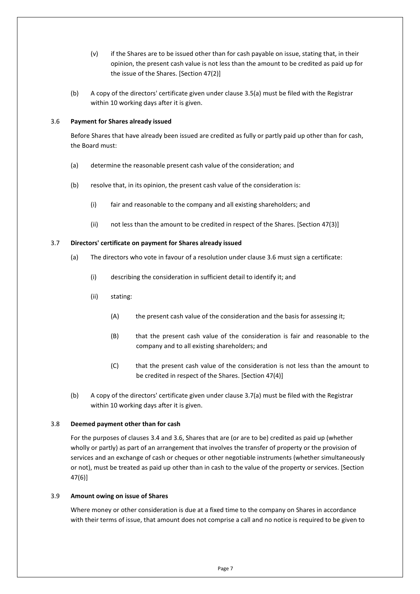- (v) if the Shares are to be issued other than for cash payable on issue, stating that, in their opinion, the present cash value is not less than the amount to be credited as paid up for the issue of the Shares. [Section 47(2)]
- (b) A copy of the directors' certificate given under clause [3.5](#page-10-1)[\(a\)](#page-10-4) must be filed with the Registrar within 10 working days after it is given.

#### <span id="page-11-0"></span>3.6 **Payment for Shares already issued**

Before Shares that have already been issued are credited as fully or partly paid up other than for cash, the Board must:

- (a) determine the reasonable present cash value of the consideration; and
- (b) resolve that, in its opinion, the present cash value of the consideration is:
	- (i) fair and reasonable to the company and all existing shareholders; and
	- (ii) not less than the amount to be credited in respect of the Shares. [Section 47(3)]

#### <span id="page-11-4"></span><span id="page-11-1"></span>3.7 **Directors' certificate on payment for Shares already issued**

- (a) The directors who vote in favour of a resolution under clause [3.6](#page-11-0) must sign a certificate:
	- (i) describing the consideration in sufficient detail to identify it; and
	- (ii) stating:
		- (A) the present cash value of the consideration and the basis for assessing it;
		- (B) that the present cash value of the consideration is fair and reasonable to the company and to all existing shareholders; and
		- (C) that the present cash value of the consideration is not less than the amount to be credited in respect of the Shares. [Section 47(4)]
- (b) A copy of the directors' certificate given under clause [3.7](#page-11-1)[\(a\)](#page-11-4) must be filed with the Registrar within 10 working days after it is given.

#### <span id="page-11-2"></span>3.8 **Deemed payment other than for cash**

For the purposes of clause[s 3.4](#page-10-0) and [3.6,](#page-11-0) Shares that are (or are to be) credited as paid up (whether wholly or partly) as part of an arrangement that involves the transfer of property or the provision of services and an exchange of cash or cheques or other negotiable instruments (whether simultaneously or not), must be treated as paid up other than in cash to the value of the property or services. [Section 47(6)]

#### <span id="page-11-3"></span>3.9 **Amount owing on issue of Shares**

Where money or other consideration is due at a fixed time to the company on Shares in accordance with their terms of issue, that amount does not comprise a call and no notice is required to be given to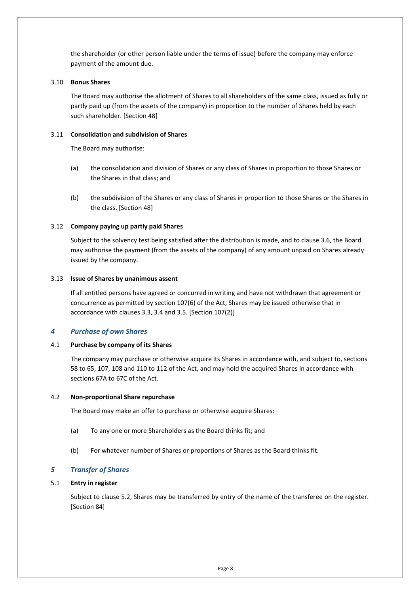the shareholder (or other person liable under the terms of issue) before the company may enforce payment of the amount due.

#### <span id="page-12-0"></span>3.10 **Bonus Shares**

The Board may authorise the allotment of Shares to all shareholders of the same class, issued as fully or partly paid up (from the assets of the company) in proportion to the number of Shares held by each such shareholder. [Section 48]

#### <span id="page-12-1"></span>3.11 **Consolidation and subdivision of Shares**

The Board may authorise:

- (a) the consolidation and division of Shares or any class of Shares in proportion to those Shares or the Shares in that class; and
- (b) the subdivision of the Shares or any class of Shares in proportion to those Shares or the Shares in the class. [Section 48]

#### <span id="page-12-2"></span>3.12 **Company paying up partly paid Shares**

Subject to the solvency test being satisfied after the distribution is made, and to clause [3.6,](#page-11-0) the Board may authorise the payment (from the assets of the company) of any amount unpaid on Shares already issued by the company.

#### <span id="page-12-3"></span>3.13 **Issue of Shares by unanimous assent**

If all entitled persons have agreed or concurred in writing and have not withdrawn that agreement or concurrence as permitted by section 107(6) of the Act, Shares may be issued otherwise that in accordance with clauses [3.3,](#page-9-8) [3.4](#page-10-0) and [3.5.](#page-10-1) [Section 107(2)]

## <span id="page-12-4"></span>*4 Purchase of own Shares*

#### <span id="page-12-5"></span>4.1 **Purchase by company of its Shares**

The company may purchase or otherwise acquire its Shares in accordance with, and subject to, sections 58 to 65, 107, 108 and 110 to 112 of the Act, and may hold the acquired Shares in accordance with sections 67A to 67C of the Act.

#### <span id="page-12-6"></span>4.2 **Non-proportional Share repurchase**

The Board may make an offer to purchase or otherwise acquire Shares:

- (a) To any one or more Shareholders as the Board thinks fit; and
- (b) For whatever number of Shares or proportions of Shares as the Board thinks fit.

## <span id="page-12-7"></span>*5 Transfer of Shares*

#### <span id="page-12-8"></span>5.1 **Entry in register**

Subject to clause [5.2,](#page-13-0) Shares may be transferred by entry of the name of the transferee on the register. [Section 84]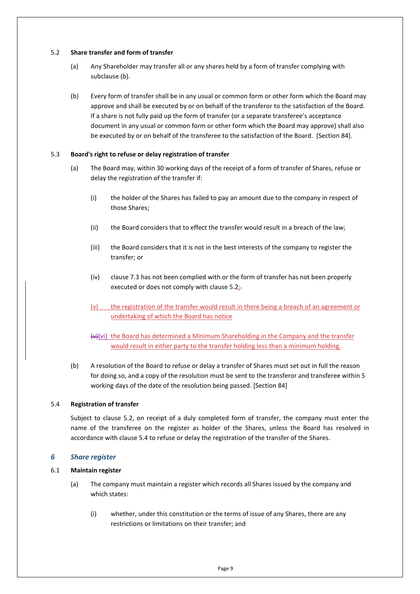#### <span id="page-13-0"></span>5.2 **Share transfer and form of transfer**

- (a) Any Shareholder may transfer all or any shares held by a form of transfer complying with subclause (b).
- (b) Every form of transfer shall be in any usual or common form or other form which the Board may approve and shall be executed by or on behalf of the transferor to the satisfaction of the Board. If a share is not fully paid up the form of transfer (or a separate transferee's acceptance document in any usual or common form or other form which the Board may approve) shall also be executed by or on behalf of the transferee to the satisfaction of the Board. [Section 84].

#### <span id="page-13-1"></span>5.3 **Board's right to refuse or delay registration of transfer**

- (a) The Board may, within 30 working days of the receipt of a form of transfer of Shares, refuse or delay the registration of the transfer if:
	- (i) the holder of the Shares has failed to pay an amount due to the company in respect of those Shares;
	- (ii) the Board considers that to effect the transfer would result in a breach of the law;
	- (iii) the Board considers that it is not in the best interests of the company to register the transfer; or
	- (iv) clause [7.3](#page-15-4) has not been complied with or the form of transfer has not been properly executed or does not comply with clause  $5.2$ ;
	- (v) the registration of the transfer would result in there being a breach of an agreement or undertaking of which the Board has notice

 $(v)$ (vi) the Board has determined a Minimum Shareholding in the Company and the transfer would result in either party to the transfer holding less than a minimum holding.

(b) A resolution of the Board to refuse or delay a transfer of Shares must set out in full the reason for doing so, and a copy of the resolution must be sent to the transferor and transferee within 5 working days of the date of the resolution being passed. [Section 84]

#### <span id="page-13-2"></span>5.4 **Registration of transfer**

Subject to clause [5.2,](#page-13-0) on receipt of a duly completed form of transfer, the company must enter the name of the transferee on the register as holder of the Shares, unless the Board has resolved in accordance with clause [5.4](#page-13-2) to refuse or delay the registration of the transfer of the Shares.

#### <span id="page-13-3"></span>*6 Share register*

### <span id="page-13-4"></span>6.1 **Maintain register**

- (a) The company must maintain a register which records all Shares issued by the company and which states:
	- (i) whether, under this constitution or the terms of issue of any Shares, there are any restrictions or limitations on their transfer; and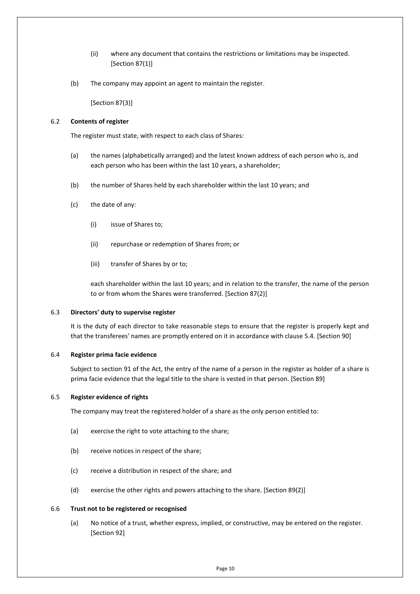- (ii) where any document that contains the restrictions or limitations may be inspected. [Section 87(1)]
- (b) The company may appoint an agent to maintain the register.

[Section 87(3)]

#### <span id="page-14-0"></span>6.2 **Contents of register**

The register must state, with respect to each class of Shares:

- (a) the names (alphabetically arranged) and the latest known address of each person who is, and each person who has been within the last 10 years, a shareholder;
- (b) the number of Shares held by each shareholder within the last 10 years; and
- (c) the date of any:
	- (i) issue of Shares to;
	- (ii) repurchase or redemption of Shares from; or
	- (iii) transfer of Shares by or to;

each shareholder within the last 10 years; and in relation to the transfer, the name of the person to or from whom the Shares were transferred. [Section 87(2)]

#### <span id="page-14-1"></span>6.3 **Directors' duty to supervise register**

It is the duty of each director to take reasonable steps to ensure that the register is properly kept and that the transferees' names are promptly entered on it in accordance with clause [5.4.](#page-13-2) [Section 90]

#### <span id="page-14-2"></span>6.4 **Register prima facie evidence**

Subject to section 91 of the Act, the entry of the name of a person in the register as holder of a share is prima facie evidence that the legal title to the share is vested in that person. [Section 89]

#### <span id="page-14-3"></span>6.5 **Register evidence of rights**

The company may treat the registered holder of a share as the only person entitled to:

- (a) exercise the right to vote attaching to the share;
- (b) receive notices in respect of the share;
- (c) receive a distribution in respect of the share; and
- (d) exercise the other rights and powers attaching to the share. [Section 89(2)]

#### <span id="page-14-4"></span>6.6 **Trust not to be registered or recognised**

(a) No notice of a trust, whether express, implied, or constructive, may be entered on the register. [Section 92]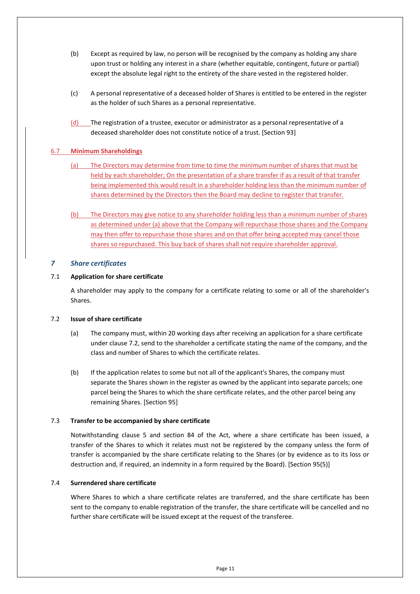- (b) Except as required by law, no person will be recognised by the company as holding any share upon trust or holding any interest in a share (whether equitable, contingent, future or partial) except the absolute legal right to the entirety of the share vested in the registered holder.
- (c) A personal representative of a deceased holder of Shares is entitled to be entered in the register as the holder of such Shares as a personal representative.
- (d) The registration of a trustee, executor or administrator as a personal representative of a deceased shareholder does not constitute notice of a trust. [Section 93]

## <span id="page-15-0"></span>6.7 **Minimum Shareholdings**

- (a) The Directors may determine from time to time the minimum number of shares that must be held by each shareholder; On the presentation of a share transfer if as a result of that transfer being implemented this would result in a shareholder holding less than the minimum number of shares determined by the Directors then the Board may decline to register that transfer.
- (b) The Directors may give notice to any shareholder holding less than a minimum number of shares as determined under (a) above that the Company will repurchase those shares and the Company may then offer to repurchase those shares and on that offer being accepted may cancel those shares so repurchased. This buy back of shares shall not require shareholder approval.

#### <span id="page-15-1"></span>*7 Share certificates*

#### <span id="page-15-2"></span>7.1 **Application for share certificate**

A shareholder may apply to the company for a certificate relating to some or all of the shareholder's Shares.

#### <span id="page-15-3"></span>7.2 **Issue of share certificate**

- (a) The company must, within 20 working days after receiving an application for a share certificate under clause [7.2,](#page-15-3) send to the shareholder a certificate stating the name of the company, and the class and number of Shares to which the certificate relates.
- (b) If the application relates to some but not all of the applicant's Shares, the company must separate the Shares shown in the register as owned by the applicant into separate parcels; one parcel being the Shares to which the share certificate relates, and the other parcel being any remaining Shares. [Section 95]

#### <span id="page-15-4"></span>7.3 **Transfer to be accompanied by share certificate**

Notwithstanding clause [5](#page-12-7) and section 84 of the Act, where a share certificate has been issued, a transfer of the Shares to which it relates must not be registered by the company unless the form of transfer is accompanied by the share certificate relating to the Shares (or by evidence as to its loss or destruction and, if required, an indemnity in a form required by the Board). [Section 95(5)]

#### <span id="page-15-5"></span>7.4 **Surrendered share certificate**

Where Shares to which a share certificate relates are transferred, and the share certificate has been sent to the company to enable registration of the transfer, the share certificate will be cancelled and no further share certificate will be issued except at the request of the transferee.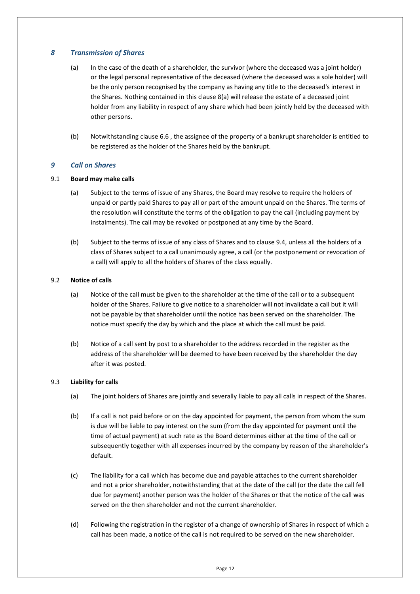## <span id="page-16-6"></span><span id="page-16-0"></span>*8 Transmission of Shares*

- (a) In the case of the death of a shareholder, the survivor (where the deceased was a joint holder) or the legal personal representative of the deceased (where the deceased was a sole holder) will be the only person recognised by the company as having any title to the deceased's interest in the Shares. Nothing contained in this claus[e 8](#page-16-0)[\(a\)](#page-16-6) will release the estate of a deceased joint holder from any liability in respect of any share which had been jointly held by the deceased with other persons.
- (b) Notwithstanding clause [6.6](#page-14-4) , the assignee of the property of a bankrupt shareholder is entitled to be registered as the holder of the Shares held by the bankrupt.

## <span id="page-16-1"></span>*9 Call on Shares*

#### <span id="page-16-2"></span>9.1 **Board may make calls**

- (a) Subject to the terms of issue of any Shares, the Board may resolve to require the holders of unpaid or partly paid Shares to pay all or part of the amount unpaid on the Shares. The terms of the resolution will constitute the terms of the obligation to pay the call (including payment by instalments). The call may be revoked or postponed at any time by the Board.
- (b) Subject to the terms of issue of any class of Shares and to clause [9.4,](#page-17-0) unless all the holders of a class of Shares subject to a call unanimously agree, a call (or the postponement or revocation of a call) will apply to all the holders of Shares of the class equally.

#### <span id="page-16-5"></span><span id="page-16-3"></span>9.2 **Notice of calls**

- (a) Notice of the call must be given to the shareholder at the time of the call or to a subsequent holder of the Shares. Failure to give notice to a shareholder will not invalidate a call but it will not be payable by that shareholder until the notice has been served on the shareholder. The notice must specify the day by which and the place at which the call must be paid.
- (b) Notice of a call sent by post to a shareholder to the address recorded in the register as the address of the shareholder will be deemed to have been received by the shareholder the day after it was posted.

#### <span id="page-16-4"></span>9.3 **Liability for calls**

- (a) The joint holders of Shares are jointly and severally liable to pay all calls in respect of the Shares.
- (b) If a call is not paid before or on the day appointed for payment, the person from whom the sum is due will be liable to pay interest on the sum (from the day appointed for payment until the time of actual payment) at such rate as the Board determines either at the time of the call or subsequently together with all expenses incurred by the company by reason of the shareholder's default.
- (c) The liability for a call which has become due and payable attaches to the current shareholder and not a prior shareholder, notwithstanding that at the date of the call (or the date the call fell due for payment) another person was the holder of the Shares or that the notice of the call was served on the then shareholder and not the current shareholder.
- (d) Following the registration in the register of a change of ownership of Shares in respect of which a call has been made, a notice of the call is not required to be served on the new shareholder.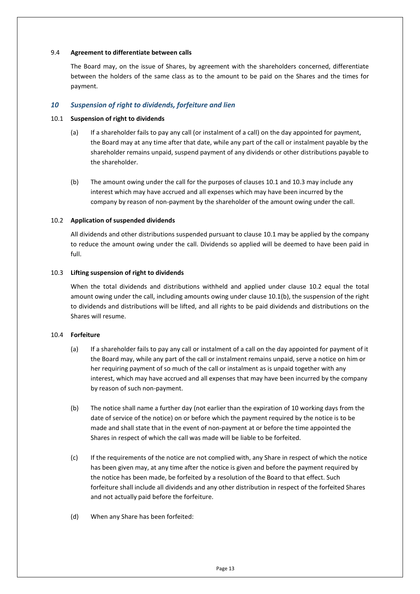#### <span id="page-17-0"></span>9.4 **Agreement to differentiate between calls**

The Board may, on the issue of Shares, by agreement with the shareholders concerned, differentiate between the holders of the same class as to the amount to be paid on the Shares and the times for payment.

### <span id="page-17-1"></span>*10 Suspension of right to dividends, forfeiture and lien*

#### <span id="page-17-2"></span>10.1 **Suspension of right to dividends**

- (a) If a shareholder fails to pay any call (or instalment of a call) on the day appointed for payment, the Board may at any time after that date, while any part of the call or instalment payable by the shareholder remains unpaid, suspend payment of any dividends or other distributions payable to the shareholder.
- <span id="page-17-6"></span>(b) The amount owing under the call for the purposes of clauses [10.1](#page-17-2) an[d 10.3](#page-17-4) may include any interest which may have accrued and all expenses which may have been incurred by the company by reason of non-payment by the shareholder of the amount owing under the call.

#### <span id="page-17-3"></span>10.2 **Application of suspended dividends**

All dividends and other distributions suspended pursuant to claus[e 10.1](#page-17-2) may be applied by the company to reduce the amount owing under the call. Dividends so applied will be deemed to have been paid in full.

#### <span id="page-17-4"></span>10.3 **Lifting suspension of right to dividends**

When the total dividends and distributions withheld and applied under clause [10.2](#page-17-3) equal the total amount owing under the call, including amounts owing under claus[e 10.1](#page-17-2)[\(b\),](#page-17-6) the suspension of the right to dividends and distributions will be lifted, and all rights to be paid dividends and distributions on the Shares will resume.

#### <span id="page-17-5"></span>10.4 **Forfeiture**

- (a) If a shareholder fails to pay any call or instalment of a call on the day appointed for payment of it the Board may, while any part of the call or instalment remains unpaid, serve a notice on him or her requiring payment of so much of the call or instalment as is unpaid together with any interest, which may have accrued and all expenses that may have been incurred by the company by reason of such non-payment.
- (b) The notice shall name a further day (not earlier than the expiration of 10 working days from the date of service of the notice) on or before which the payment required by the notice is to be made and shall state that in the event of non-payment at or before the time appointed the Shares in respect of which the call was made will be liable to be forfeited.
- (c) If the requirements of the notice are not complied with, any Share in respect of which the notice has been given may, at any time after the notice is given and before the payment required by the notice has been made, be forfeited by a resolution of the Board to that effect. Such forfeiture shall include all dividends and any other distribution in respect of the forfeited Shares and not actually paid before the forfeiture.
- <span id="page-17-7"></span>(d) When any Share has been forfeited: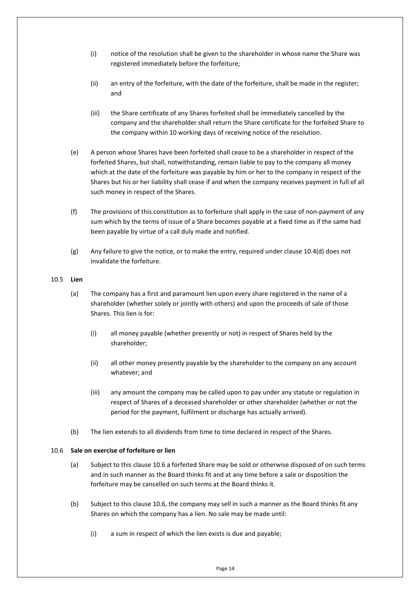- (i) notice of the resolution shall be given to the shareholder in whose name the Share was registered immediately before the forfeiture;
- (ii) an entry of the forfeiture, with the date of the forfeiture, shall be made in the register; and
- (iii) the Share certificate of any Shares forfeited shall be immediately cancelled by the company and the shareholder shall return the Share certificate for the forfeited Share to the company within 10 working days of receiving notice of the resolution.
- (e) A person whose Shares have been forfeited shall cease to be a shareholder in respect of the forfeited Shares, but shall, notwithstanding, remain liable to pay to the company all money which at the date of the forfeiture was payable by him or her to the company in respect of the Shares but his or her liability shall cease if and when the company receives payment in full of all such money in respect of the Shares.
- (f) The provisions of this constitution as to forfeiture shall apply in the case of non-payment of any sum which by the terms of issue of a Share becomes payable at a fixed time as if the same had been payable by virtue of a call duly made and notified.
- (g) Any failure to give the notice, or to make the entry, required under claus[e 10.4](#page-17-5)[\(d\)](#page-17-7) does not invalidate the forfeiture.

#### <span id="page-18-0"></span>10.5 **Lien**

- (a) The company has a first and paramount lien upon every share registered in the name of a shareholder (whether solely or jointly with others) and upon the proceeds of sale of those Shares. This lien is for:
	- (i) all money payable (whether presently or not) in respect of Shares held by the shareholder;
	- (ii) all other money presently payable by the shareholder to the company on any account whatever; and
	- (iii) any amount the company may be called upon to pay under any statute or regulation in respect of Shares of a deceased shareholder or other shareholder (whether or not the period for the payment, fulfilment or discharge has actually arrived).
- (b) The lien extends to all dividends from time to time declared in respect of the Shares.

## <span id="page-18-1"></span>10.6 **Sale on exercise of forfeiture or lien**

- (a) Subject to this claus[e 10.6](#page-18-1) a forfeited Share may be sold or otherwise disposed of on such terms and in such manner as the Board thinks fit and at any time before a sale or disposition the forfeiture may be cancelled on such terms at the Board thinks it.
- (b) Subject to this claus[e 10.6,](#page-18-1) the company may sell in such a manner as the Board thinks fit any Shares on which the company has a lien. No sale may be made until:
	- (i) a sum in respect of which the lien exists is due and payable;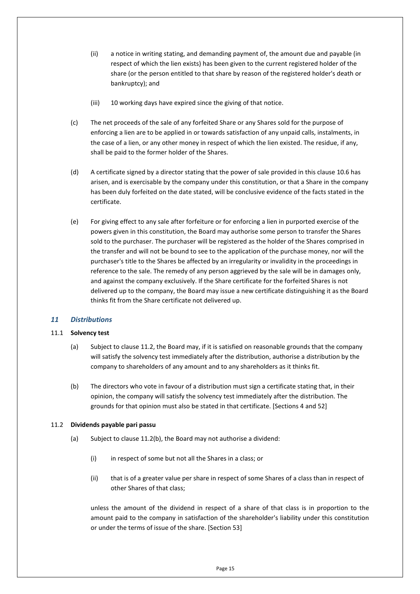- (ii) a notice in writing stating, and demanding payment of, the amount due and payable (in respect of which the lien exists) has been given to the current registered holder of the share (or the person entitled to that share by reason of the registered holder's death or bankruptcy); and
- (iii) 10 working days have expired since the giving of that notice.
- (c) The net proceeds of the sale of any forfeited Share or any Shares sold for the purpose of enforcing a lien are to be applied in or towards satisfaction of any unpaid calls, instalments, in the case of a lien, or any other money in respect of which the lien existed. The residue, if any, shall be paid to the former holder of the Shares.
- (d) A certificate signed by a director stating that the power of sale provided in this claus[e 10.6](#page-18-1) has arisen, and is exercisable by the company under this constitution, or that a Share in the company has been duly forfeited on the date stated, will be conclusive evidence of the facts stated in the certificate.
- (e) For giving effect to any sale after forfeiture or for enforcing a lien in purported exercise of the powers given in this constitution, the Board may authorise some person to transfer the Shares sold to the purchaser. The purchaser will be registered as the holder of the Shares comprised in the transfer and will not be bound to see to the application of the purchase money, nor will the purchaser's title to the Shares be affected by an irregularity or invalidity in the proceedings in reference to the sale. The remedy of any person aggrieved by the sale will be in damages only, and against the company exclusively. If the Share certificate for the forfeited Shares is not delivered up to the company, the Board may issue a new certificate distinguishing it as the Board thinks fit from the Share certificate not delivered up.

## <span id="page-19-0"></span>*11 Distributions*

#### <span id="page-19-1"></span>11.1 **Solvency test**

- (a) Subject to clause [11.2,](#page-19-2) the Board may, if it is satisfied on reasonable grounds that the company will satisfy the solvency test immediately after the distribution, authorise a distribution by the company to shareholders of any amount and to any shareholders as it thinks fit.
- (b) The directors who vote in favour of a distribution must sign a certificate stating that, in their opinion, the company will satisfy the solvency test immediately after the distribution. The grounds for that opinion must also be stated in that certificate. [Sections 4 and 52]

#### <span id="page-19-3"></span><span id="page-19-2"></span>11.2 **Dividends payable pari passu**

- (a) Subject to clause [11.2](#page-19-2)[\(b\),](#page-20-3) the Board may not authorise a dividend:
	- (i) in respect of some but not all the Shares in a class; or
	- (ii) that is of a greater value per share in respect of some Shares of a class than in respect of other Shares of that class;

unless the amount of the dividend in respect of a share of that class is in proportion to the amount paid to the company in satisfaction of the shareholder's liability under this constitution or under the terms of issue of the share. [Section 53]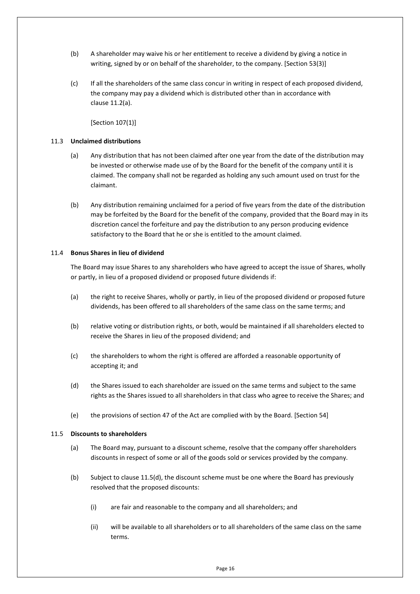- <span id="page-20-3"></span>(b) A shareholder may waive his or her entitlement to receive a dividend by giving a notice in writing, signed by or on behalf of the shareholder, to the company. [Section 53(3)]
- (c) If all the shareholders of the same class concur in writing in respect of each proposed dividend, the company may pay a dividend which is distributed other than in accordance with clause [11.2](#page-19-2)[\(a\).](#page-19-3)

[Section 107(1)]

#### <span id="page-20-0"></span>11.3 **Unclaimed distributions**

- (a) Any distribution that has not been claimed after one year from the date of the distribution may be invested or otherwise made use of by the Board for the benefit of the company until it is claimed. The company shall not be regarded as holding any such amount used on trust for the claimant.
- (b) Any distribution remaining unclaimed for a period of five years from the date of the distribution may be forfeited by the Board for the benefit of the company, provided that the Board may in its discretion cancel the forfeiture and pay the distribution to any person producing evidence satisfactory to the Board that he or she is entitled to the amount claimed.

#### <span id="page-20-1"></span>11.4 **Bonus Shares in lieu of dividend**

The Board may issue Shares to any shareholders who have agreed to accept the issue of Shares, wholly or partly, in lieu of a proposed dividend or proposed future dividends if:

- (a) the right to receive Shares, wholly or partly, in lieu of the proposed dividend or proposed future dividends, has been offered to all shareholders of the same class on the same terms; and
- (b) relative voting or distribution rights, or both, would be maintained if all shareholders elected to receive the Shares in lieu of the proposed dividend; and
- (c) the shareholders to whom the right is offered are afforded a reasonable opportunity of accepting it; and
- (d) the Shares issued to each shareholder are issued on the same terms and subject to the same rights as the Shares issued to all shareholders in that class who agree to receive the Shares; and
- (e) the provisions of section 47 of the Act are complied with by the Board. [Section 54]

#### <span id="page-20-2"></span>11.5 **Discounts to shareholders**

- (a) The Board may, pursuant to a discount scheme, resolve that the company offer shareholders discounts in respect of some or all of the goods sold or services provided by the company.
- <span id="page-20-4"></span>(b) Subject to clause [11.5](#page-20-2)[\(d\),](#page-21-6) the discount scheme must be one where the Board has previously resolved that the proposed discounts:
	- (i) are fair and reasonable to the company and all shareholders; and
	- (ii) will be available to all shareholders or to all shareholders of the same class on the same terms.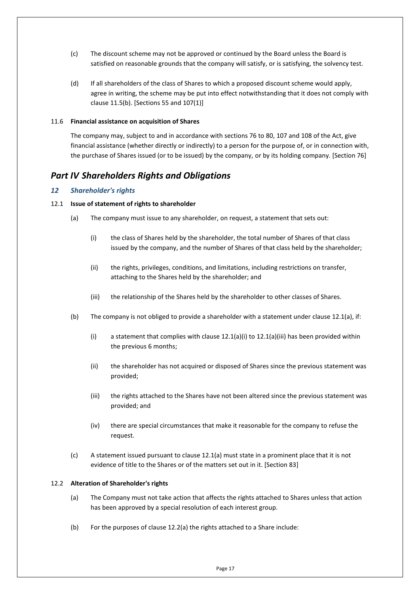- (c) The discount scheme may not be approved or continued by the Board unless the Board is satisfied on reasonable grounds that the company will satisfy, or is satisfying, the solvency test.
- <span id="page-21-6"></span>(d) If all shareholders of the class of Shares to which a proposed discount scheme would apply, agree in writing, the scheme may be put into effect notwithstanding that it does not comply with clause [11.5](#page-20-2)[\(b\).](#page-20-4) [Sections 55 and 107(1)]

#### <span id="page-21-0"></span>11.6 **Financial assistance on acquisition of Shares**

The company may, subject to and in accordance with sections 76 to 80, 107 and 108 of the Act, give financial assistance (whether directly or indirectly) to a person for the purpose of, or in connection with, the purchase of Shares issued (or to be issued) by the company, or by its holding company. [Section 76]

## <span id="page-21-1"></span>*Part IV Shareholders Rights and Obligations*

## <span id="page-21-2"></span>*12 Shareholder's rights*

## <span id="page-21-7"></span><span id="page-21-3"></span>12.1 **Issue of statement of rights to shareholder**

- <span id="page-21-8"></span>(a) The company must issue to any shareholder, on request, a statement that sets out:
	- (i) the class of Shares held by the shareholder, the total number of Shares of that class issued by the company, and the number of Shares of that class held by the shareholder;
	- (ii) the rights, privileges, conditions, and limitations, including restrictions on transfer, attaching to the Shares held by the shareholder; and
	- (iii) the relationship of the Shares held by the shareholder to other classes of Shares.
- <span id="page-21-9"></span>(b) The company is not obliged to provide a shareholder with a statement under clause [12.1](#page-21-3)[\(a\),](#page-21-7) if:
	- (i) a statement that complies with clause  $12.1(a)(i)$  $12.1(a)(i)$  to  $12.1(a)(ii)$  has been provided within the previous 6 months;
	- (ii) the shareholder has not acquired or disposed of Shares since the previous statement was provided;
	- (iii) the rights attached to the Shares have not been altered since the previous statement was provided; and
	- (iv) there are special circumstances that make it reasonable for the company to refuse the request.
- (c) A statement issued pursuant to clause [12.1](#page-21-3)[\(a\)](#page-21-7) must state in a prominent place that it is not evidence of title to the Shares or of the matters set out in it. [Section 83]

#### <span id="page-21-5"></span><span id="page-21-4"></span>12.2 **Alteration of Shareholder's rights**

- (a) The Company must not take action that affects the rights attached to Shares unless that action has been approved by a special resolution of each interest group.
- (b) For the purposes of clause [12.2](#page-21-4)[\(a\)](#page-21-5) the rights attached to a Share include: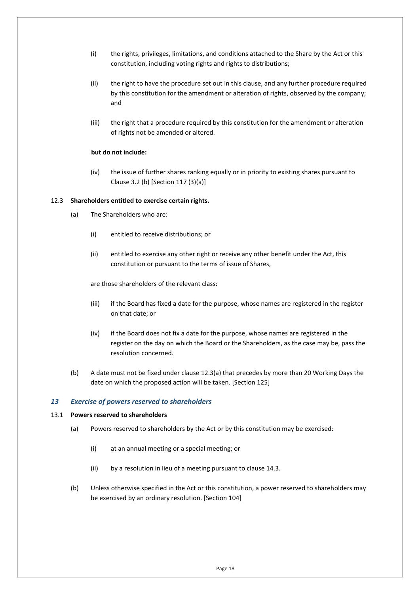- (i) the rights, privileges, limitations, and conditions attached to the Share by the Act or this constitution, including voting rights and rights to distributions;
- (ii) the right to have the procedure set out in this clause, and any further procedure required by this constitution for the amendment or alteration of rights, observed by the company; and
- (iii) the right that a procedure required by this constitution for the amendment or alteration of rights not be amended or altered.

#### **but do not include:**

(iv) the issue of further shares ranking equally or in priority to existing shares pursuant to Clause 3.2 (b) [Section 117 (3)(a)]

#### <span id="page-22-3"></span><span id="page-22-0"></span>12.3 **Shareholders entitled to exercise certain rights.**

- (a) The Shareholders who are:
	- (i) entitled to receive distributions; or
	- (ii) entitled to exercise any other right or receive any other benefit under the Act, this constitution or pursuant to the terms of issue of Shares,

are those shareholders of the relevant class:

- (iii) if the Board has fixed a date for the purpose, whose names are registered in the register on that date; or
- (iv) if the Board does not fix a date for the purpose, whose names are registered in the register on the day on which the Board or the Shareholders, as the case may be, pass the resolution concerned.
- (b) A date must not be fixed under clause [12.3](#page-22-0)[\(a\)](#page-22-3) that precedes by more than 20 Working Days the date on which the proposed action will be taken. [Section 125]

#### <span id="page-22-1"></span>*13 Exercise of powers reserved to shareholders*

#### <span id="page-22-2"></span>13.1 **Powers reserved to shareholders**

- (a) Powers reserved to shareholders by the Act or by this constitution may be exercised:
	- (i) at an annual meeting or a special meeting; or
	- (ii) by a resolution in lieu of a meeting pursuant to clause [14.3.](#page-25-3)
- (b) Unless otherwise specified in the Act or this constitution, a power reserved to shareholders may be exercised by an ordinary resolution. [Section 104]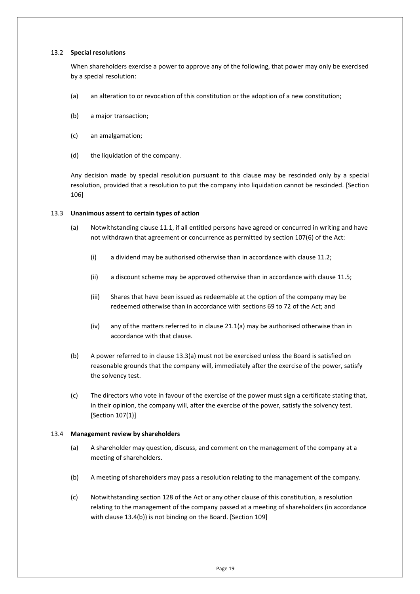#### <span id="page-23-0"></span>13.2 **Special resolutions**

When shareholders exercise a power to approve any of the following, that power may only be exercised by a special resolution:

- <span id="page-23-5"></span>(a) an alteration to or revocation of this constitution or the adoption of a new constitution;
- <span id="page-23-6"></span>(b) a major transaction;
- <span id="page-23-7"></span>(c) an amalgamation;
- (d) the liquidation of the company.

Any decision made by special resolution pursuant to this clause may be rescinded only by a special resolution, provided that a resolution to put the company into liquidation cannot be rescinded. [Section 106]

#### <span id="page-23-3"></span><span id="page-23-1"></span>13.3 **Unanimous assent to certain types of action**

- (a) Notwithstanding clause [11.1,](#page-19-1) if all entitled persons have agreed or concurred in writing and have not withdrawn that agreement or concurrence as permitted by section 107(6) of the Act:
	- (i) a dividend may be authorised otherwise than in accordance with clause [11.2;](#page-19-2)
	- (ii) a discount scheme may be approved otherwise than in accordance with clause [11.5;](#page-20-2)
	- (iii) Shares that have been issued as redeemable at the option of the company may be redeemed otherwise than in accordance with sections 69 to 72 of the Act; and
	- (iv) any of the matters referred to in clause [21.1\(a\)](#page-44-7) may be authorised otherwise than in accordance with that clause.
- (b) A power referred to in claus[e 13.3](#page-23-1)[\(a\)](#page-23-3) must not be exercised unless the Board is satisfied on reasonable grounds that the company will, immediately after the exercise of the power, satisfy the solvency test.
- (c) The directors who vote in favour of the exercise of the power must sign a certificate stating that, in their opinion, the company will, after the exercise of the power, satisfy the solvency test. [Section 107(1)]

#### <span id="page-23-2"></span>13.4 **Management review by shareholders**

- (a) A shareholder may question, discuss, and comment on the management of the company at a meeting of shareholders.
- <span id="page-23-4"></span>(b) A meeting of shareholders may pass a resolution relating to the management of the company.
- (c) Notwithstanding section 128 of the Act or any other clause of this constitution, a resolution relating to the management of the company passed at a meeting of shareholders (in accordance with claus[e 13.4](#page-23-2)[\(b\)\)](#page-23-4) is not binding on the Board. [Section 109]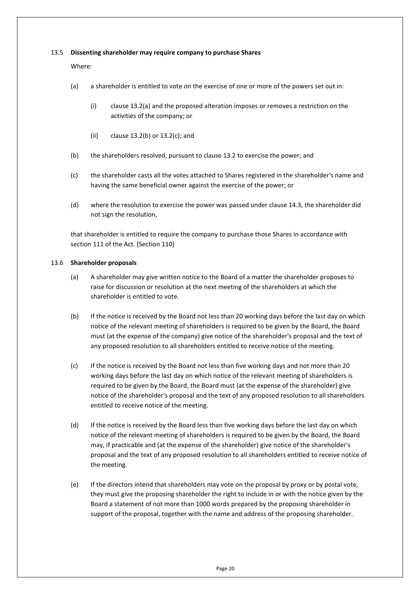#### <span id="page-24-0"></span>13.5 **Dissenting shareholder may require company to purchase Shares**

Where:

- (a) a shareholder is entitled to vote on the exercise of one or more of the powers set out in:
	- (i) clause [13.2\(a\)](#page-23-5) and the proposed alteration imposes or removes a restriction on the activities of the company; or
	- (ii) clause [13.2\(b\)](#page-23-6) or [13.2\(c\);](#page-23-7) and
- (b) the shareholders resolved, pursuant to claus[e 13.2](#page-23-0) to exercise the power; and
- (c) the shareholder casts all the votes attached to Shares registered in the shareholder's name and having the same beneficial owner against the exercise of the power; or
- (d) where the resolution to exercise the power was passed under clause [14.3,](#page-25-3) the shareholder did not sign the resolution,

that shareholder is entitled to require the company to purchase those Shares in accordance with section 111 of the Act. [Section 110]

#### <span id="page-24-1"></span>13.6 **Shareholder proposals**

- (a) A shareholder may give written notice to the Board of a matter the shareholder proposes to raise for discussion or resolution at the next meeting of the shareholders at which the shareholder is entitled to vote.
- (b) If the notice is received by the Board not less than 20 working days before the last day on which notice of the relevant meeting of shareholders is required to be given by the Board, the Board must (at the expense of the company) give notice of the shareholder's proposal and the text of any proposed resolution to all shareholders entitled to receive notice of the meeting.
- (c) If the notice is received by the Board not less than five working days and not more than 20 working days before the last day on which notice of the relevant meeting of shareholders is required to be given by the Board, the Board must (at the expense of the shareholder) give notice of the shareholder's proposal and the text of any proposed resolution to all shareholders entitled to receive notice of the meeting.
- (d) If the notice is received by the Board less than five working days before the last day on which notice of the relevant meeting of shareholders is required to be given by the Board, the Board may, if practicable and (at the expense of the shareholder) give notice of the shareholder's proposal and the text of any proposed resolution to all shareholders entitled to receive notice of the meeting.
- (e) If the directors intend that shareholders may vote on the proposal by proxy or by postal vote, they must give the proposing shareholder the right to include in or with the notice given by the Board a statement of not more than 1000 words prepared by the proposing shareholder in support of the proposal, together with the name and address of the proposing shareholder.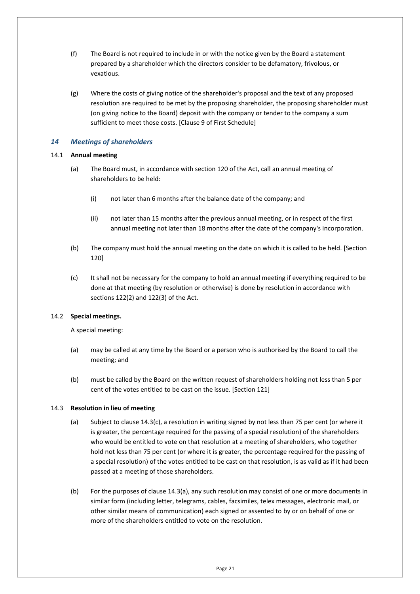- (f) The Board is not required to include in or with the notice given by the Board a statement prepared by a shareholder which the directors consider to be defamatory, frivolous, or vexatious.
- (g) Where the costs of giving notice of the shareholder's proposal and the text of any proposed resolution are required to be met by the proposing shareholder, the proposing shareholder must (on giving notice to the Board) deposit with the company or tender to the company a sum sufficient to meet those costs. [Clause 9 of First Schedule]

## <span id="page-25-0"></span>*14 Meetings of shareholders*

#### <span id="page-25-1"></span>14.1 **Annual meeting**

- (a) The Board must, in accordance with section 120 of the Act, call an annual meeting of shareholders to be held:
	- (i) not later than 6 months after the balance date of the company; and
	- (ii) not later than 15 months after the previous annual meeting, or in respect of the first annual meeting not later than 18 months after the date of the company's incorporation.
- (b) The company must hold the annual meeting on the date on which it is called to be held. [Section 120]
- (c) It shall not be necessary for the company to hold an annual meeting if everything required to be done at that meeting (by resolution or otherwise) is done by resolution in accordance with sections 122(2) and 122(3) of the Act.

## <span id="page-25-2"></span>14.2 **Special meetings.**

A special meeting:

- (a) may be called at any time by the Board or a person who is authorised by the Board to call the meeting; and
- <span id="page-25-5"></span>(b) must be called by the Board on the written request of shareholders holding not less than 5 per cent of the votes entitled to be cast on the issue. [Section 121]

## <span id="page-25-4"></span><span id="page-25-3"></span>14.3 **Resolution in lieu of meeting**

- (a) Subject to claus[e 14.3](#page-25-3)[\(c\),](#page-26-4) a resolution in writing signed by not less than 75 per cent (or where it is greater, the percentage required for the passing of a special resolution) of the shareholders who would be entitled to vote on that resolution at a meeting of shareholders, who together hold not less than 75 per cent (or where it is greater, the percentage required for the passing of a special resolution) of the votes entitled to be cast on that resolution, is as valid as if it had been passed at a meeting of those shareholders.
- (b) For the purposes of clause [14.3](#page-25-3)[\(a\),](#page-25-4) any such resolution may consist of one or more documents in similar form (including letter, telegrams, cables, facsimiles, telex messages, electronic mail, or other similar means of communication) each signed or assented to by or on behalf of one or more of the shareholders entitled to vote on the resolution.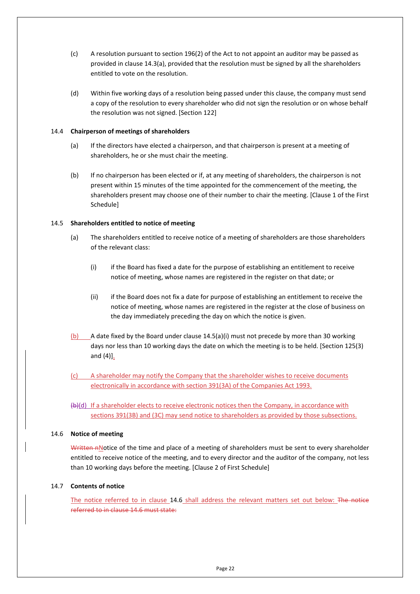- <span id="page-26-4"></span>(c) A resolution pursuant to section 196(2) of the Act to not appoint an auditor may be passed as provided in clause [14.3](#page-25-3)[\(a\),](#page-25-4) provided that the resolution must be signed by all the shareholders entitled to vote on the resolution.
- (d) Within five working days of a resolution being passed under this clause, the company must send a copy of the resolution to every shareholder who did not sign the resolution or on whose behalf the resolution was not signed. [Section 122]

#### <span id="page-26-0"></span>14.4 **Chairperson of meetings of shareholders**

- (a) If the directors have elected a chairperson, and that chairperson is present at a meeting of shareholders, he or she must chair the meeting.
- (b) If no chairperson has been elected or if, at any meeting of shareholders, the chairperson is not present within 15 minutes of the time appointed for the commencement of the meeting, the shareholders present may choose one of their number to chair the meeting. [Clause 1 of the First Schedule]

#### <span id="page-26-1"></span>14.5 **Shareholders entitled to notice of meeting**

- <span id="page-26-5"></span>(a) The shareholders entitled to receive notice of a meeting of shareholders are those shareholders of the relevant class:
	- (i) if the Board has fixed a date for the purpose of establishing an entitlement to receive notice of meeting, whose names are registered in the register on that date; or
	- (ii) if the Board does not fix a date for purpose of establishing an entitlement to receive the notice of meeting, whose names are registered in the register at the close of business on the day immediately preceding the day on which the notice is given.
- (b) A date fixed by the Board under clause [14.5](#page-26-1)[\(a\)\(i\)](#page-26-5) must not precede by more than 30 working days nor less than 10 working days the date on which the meeting is to be held. [Section 125(3) and  $(4)$ ].
- A shareholder may notify the Company that the shareholder wishes to receive documents electronically in accordance with section 391(3A) of the Companies Act 1993.
- $(b)$ (d) If a shareholder elects to receive electronic notices then the Company, in accordance with sections 391(3B) and (3C) may send notice to shareholders as provided by those subsections.

#### <span id="page-26-2"></span>14.6 **Notice of meeting**

Written nNotice of the time and place of a meeting of shareholders must be sent to every shareholder entitled to receive notice of the meeting, and to every director and the auditor of the company, not less than 10 working days before the meeting. [Clause 2 of First Schedule]

#### <span id="page-26-3"></span>14.7 **Contents of notice**

The notice referred to in clause [14.6](#page-26-2) shall address the relevant matters set out below: The notice referred to in clause 14.6 must state: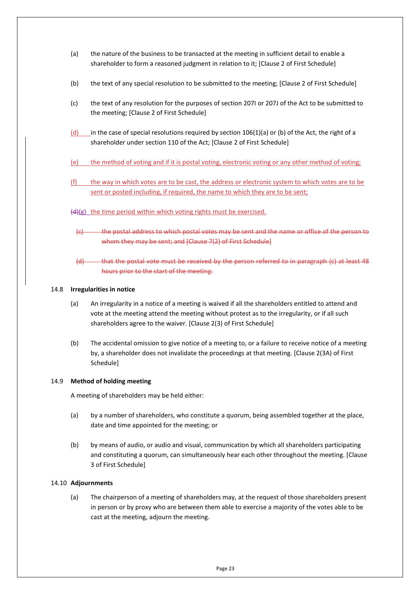- (a) the nature of the business to be transacted at the meeting in sufficient detail to enable a shareholder to form a reasoned judgment in relation to it; [Clause 2 of First Schedule]
- (b) the text of any special resolution to be submitted to the meeting; [Clause 2 of First Schedule]
- (c) the text of any resolution for the purposes of section 207I or 207J of the Act to be submitted to the meeting; [Clause 2 of First Schedule]
- (d) in the case of special resolutions required by section  $106(1)(a)$  or (b) of the Act, the right of a shareholder under section 110 of the Act; [Clause 2 of First Schedule]
- (e) the method of voting and if it is postal voting, electronic voting or any other method of voting;
- (f) the way in which votes are to be cast, the address or electronic system to which votes are to be sent or posted including, if required, the name to which they are to be sent;
- (d)(g) the time period within which voting rights must be exercised.
	- (c) the postal address to which postal votes may be sent and the name or office of the person to whom they may be sent; and [Clause 7(2) of First Schedule]
	- (d) that the postal vote must be received by the person referred to in paragraph (c) at least 48 hours prior to the start of the meeting.

#### <span id="page-27-0"></span>14.8 **Irregularities in notice**

- (a) An irregularity in a notice of a meeting is waived if all the shareholders entitled to attend and vote at the meeting attend the meeting without protest as to the irregularity, or if all such shareholders agree to the waiver. [Clause 2(3) of First Schedule]
- (b) The accidental omission to give notice of a meeting to, or a failure to receive notice of a meeting by, a shareholder does not invalidate the proceedings at that meeting. [Clause 2(3A) of First Schedule]

#### <span id="page-27-1"></span>14.9 **Method of holding meeting**

A meeting of shareholders may be held either:

- <span id="page-27-3"></span>(a) by a number of shareholders, who constitute a quorum, being assembled together at the place, date and time appointed for the meeting; or
- <span id="page-27-4"></span>(b) by means of audio, or audio and visual, communication by which all shareholders participating and constituting a quorum, can simultaneously hear each other throughout the meeting. [Clause 3 of First Schedule]

#### <span id="page-27-2"></span>14.10 **Adjournments**

(a) The chairperson of a meeting of shareholders may, at the request of those shareholders present in person or by proxy who are between them able to exercise a majority of the votes able to be cast at the meeting, adjourn the meeting.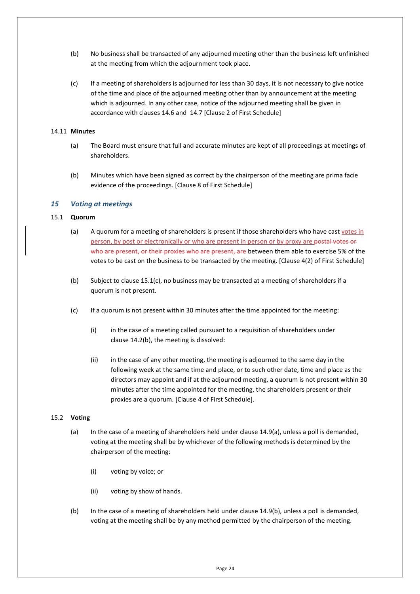- (b) No business shall be transacted of any adjourned meeting other than the business left unfinished at the meeting from which the adjournment took place.
- (c) If a meeting of shareholders is adjourned for less than 30 days, it is not necessary to give notice of the time and place of the adjourned meeting other than by announcement at the meeting which is adjourned. In any other case, notice of the adjourned meeting shall be given in accordance with clauses [14.6](#page-26-2) and [14.7](#page-26-3) [Clause 2 of First Schedule]

#### <span id="page-28-0"></span>14.11 **Minutes**

- (a) The Board must ensure that full and accurate minutes are kept of all proceedings at meetings of shareholders.
- (b) Minutes which have been signed as correct by the chairperson of the meeting are prima facie evidence of the proceedings. [Clause 8 of First Schedule]

#### <span id="page-28-1"></span>*15 Voting at meetings*

#### <span id="page-28-2"></span>15.1 **Quorum**

- (a) A quorum for a meeting of shareholders is present if those shareholders who have cast votes in person, by post or electronically or who are present in person or by proxy are postal votes or who are present, or their proxies who are present, are between them able to exercise 5% of the votes to be cast on the business to be transacted by the meeting. [Clause 4(2) of First Schedule]
- (b) Subject to claus[e 15.1](#page-28-2)[\(c\),](#page-28-4) no business may be transacted at a meeting of shareholders if a quorum is not present.
- <span id="page-28-4"></span>(c) If a quorum is not present within 30 minutes after the time appointed for the meeting:
	- (i) in the case of a meeting called pursuant to a requisition of shareholders under clause [14.2\(b\),](#page-25-5) the meeting is dissolved:
	- (ii) in the case of any other meeting, the meeting is adjourned to the same day in the following week at the same time and place, or to such other date, time and place as the directors may appoint and if at the adjourned meeting, a quorum is not present within 30 minutes after the time appointed for the meeting, the shareholders present or their proxies are a quorum. [Clause 4 of First Schedule].

#### <span id="page-28-3"></span>15.2 **Voting**

- (a) In the case of a meeting of shareholders held under clause [14.9\(a\),](#page-27-3) unless a poll is demanded, voting at the meeting shall be by whichever of the following methods is determined by the chairperson of the meeting:
	- (i) voting by voice; or
	- (ii) voting by show of hands.
- (b) In the case of a meeting of shareholders held under clause [14.9\(b\),](#page-27-4) unless a poll is demanded, voting at the meeting shall be by any method permitted by the chairperson of the meeting.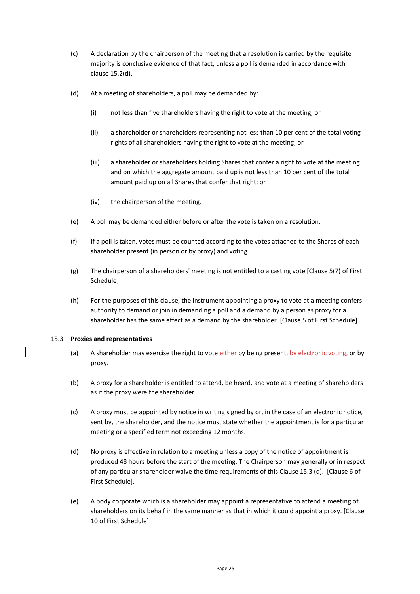- (c) A declaration by the chairperson of the meeting that a resolution is carried by the requisite majority is conclusive evidence of that fact, unless a poll is demanded in accordance with clause [15.2](#page-28-3)[\(d\).](#page-29-1)
- <span id="page-29-1"></span>(d) At a meeting of shareholders, a poll may be demanded by:
	- (i) not less than five shareholders having the right to vote at the meeting; or
	- (ii) a shareholder or shareholders representing not less than 10 per cent of the total voting rights of all shareholders having the right to vote at the meeting; or
	- (iii) a shareholder or shareholders holding Shares that confer a right to vote at the meeting and on which the aggregate amount paid up is not less than 10 per cent of the total amount paid up on all Shares that confer that right; or
	- (iv) the chairperson of the meeting.
- (e) A poll may be demanded either before or after the vote is taken on a resolution.
- (f) If a poll is taken, votes must be counted according to the votes attached to the Shares of each shareholder present (in person or by proxy) and voting.
- (g) The chairperson of a shareholders' meeting is not entitled to a casting vote [Clause 5(7) of First Schedule]
- (h) For the purposes of this clause, the instrument appointing a proxy to vote at a meeting confers authority to demand or join in demanding a poll and a demand by a person as proxy for a shareholder has the same effect as a demand by the shareholder. [Clause 5 of First Schedule]

#### <span id="page-29-0"></span>15.3 **Proxies and representatives**

- (a) A shareholder may exercise the right to vote either-by being present, by electronic voting, or by proxy.
- (b) A proxy for a shareholder is entitled to attend, be heard, and vote at a meeting of shareholders as if the proxy were the shareholder.
- (c) A proxy must be appointed by notice in writing signed by or, in the case of an electronic notice, sent by, the shareholder, and the notice must state whether the appointment is for a particular meeting or a specified term not exceeding 12 months.
- (d) No proxy is effective in relation to a meeting unless a copy of the notice of appointment is produced 48 hours before the start of the meeting. The Chairperson may generally or in respect of any particular shareholder waive the time requirements of this Clause 15.3 (d). [Clause 6 of First Schedule].
- (e) A body corporate which is a shareholder may appoint a representative to attend a meeting of shareholders on its behalf in the same manner as that in which it could appoint a proxy. [Clause 10 of First Schedule]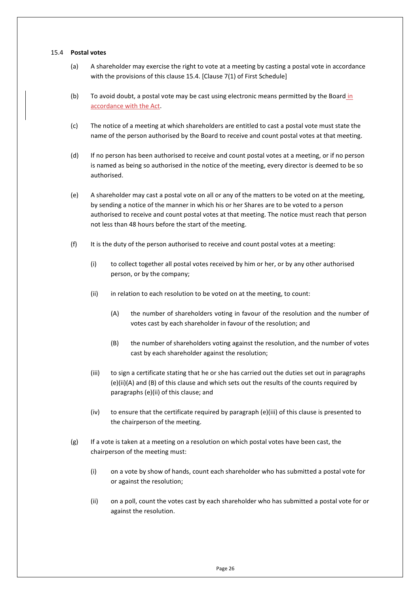#### <span id="page-30-0"></span>15.4 **Postal votes**

- (a) A shareholder may exercise the right to vote at a meeting by casting a postal vote in accordance with the provisions of this clause [15.4.](#page-30-0) [Clause 7(1) of First Schedule]
- (b) To avoid doubt, a postal vote may be cast using electronic means permitted by the Board in accordance with the Act.
- (c) The notice of a meeting at which shareholders are entitled to cast a postal vote must state the name of the person authorised by the Board to receive and count postal votes at that meeting.
- (d) If no person has been authorised to receive and count postal votes at a meeting, or if no person is named as being so authorised in the notice of the meeting, every director is deemed to be so authorised.
- (e) A shareholder may cast a postal vote on all or any of the matters to be voted on at the meeting, by sending a notice of the manner in which his or her Shares are to be voted to a person authorised to receive and count postal votes at that meeting. The notice must reach that person not less than 48 hours before the start of the meeting.
- (f) It is the duty of the person authorised to receive and count postal votes at a meeting:
	- (i) to collect together all postal votes received by him or her, or by any other authorised person, or by the company;
	- (ii) in relation to each resolution to be voted on at the meeting, to count:
		- (A) the number of shareholders voting in favour of the resolution and the number of votes cast by each shareholder in favour of the resolution; and
		- (B) the number of shareholders voting against the resolution, and the number of votes cast by each shareholder against the resolution;
	- (iii) to sign a certificate stating that he or she has carried out the duties set out in paragraphs (e)(ii)(A) and (B) of this clause and which sets out the results of the counts required by paragraphs (e)(ii) of this clause; and
	- (iv) to ensure that the certificate required by paragraph (e)(iii) of this clause is presented to the chairperson of the meeting.
- (g) If a vote is taken at a meeting on a resolution on which postal votes have been cast, the chairperson of the meeting must:
	- (i) on a vote by show of hands, count each shareholder who has submitted a postal vote for or against the resolution;
	- (ii) on a poll, count the votes cast by each shareholder who has submitted a postal vote for or against the resolution.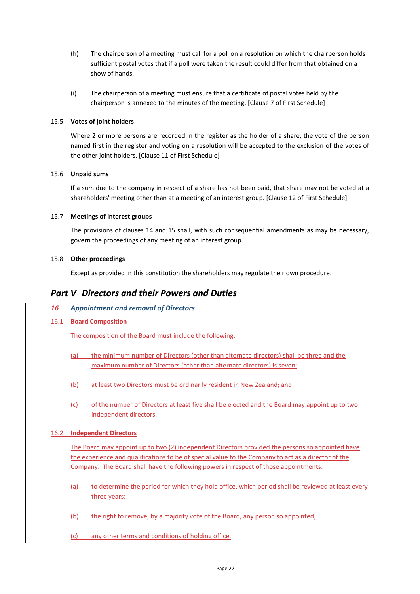- (h) The chairperson of a meeting must call for a poll on a resolution on which the chairperson holds sufficient postal votes that if a poll were taken the result could differ from that obtained on a show of hands.
- (i) The chairperson of a meeting must ensure that a certificate of postal votes held by the chairperson is annexed to the minutes of the meeting. [Clause 7 of First Schedule]

#### <span id="page-31-0"></span>15.5 **Votes of joint holders**

Where 2 or more persons are recorded in the register as the holder of a share, the vote of the person named first in the register and voting on a resolution will be accepted to the exclusion of the votes of the other joint holders. [Clause 11 of First Schedule]

#### <span id="page-31-1"></span>15.6 **Unpaid sums**

If a sum due to the company in respect of a share has not been paid, that share may not be voted at a shareholders' meeting other than at a meeting of an interest group. [Clause 12 of First Schedule]

#### <span id="page-31-2"></span>15.7 **Meetings of interest groups**

The provisions of clauses [14](#page-25-0) and [15](#page-28-1) shall, with such consequential amendments as may be necessary, govern the proceedings of any meeting of an interest group.

#### <span id="page-31-3"></span>15.8 **Other proceedings**

Except as provided in this constitution the shareholders may regulate their own procedure.

## <span id="page-31-4"></span>*Part V Directors and their Powers and Duties*

## <span id="page-31-5"></span>*16 Appointment and removal of Directors*

<span id="page-31-6"></span>16.1 **Board Composition**

The composition of the Board must include the following:

- (a) the minimum number of Directors (other than alternate directors) shall be three and the maximum number of Directors (other than alternate directors) is seven;
- (b) at least two Directors must be ordinarily resident in New Zealand; and
- (c) of the number of Directors at least five shall be elected and the Board may appoint up to two independent directors.

## <span id="page-31-7"></span>16.2 **Independent Directors**

The Board may appoint up to two (2) independent Directors provided the persons so appointed have the experience and qualifications to be of special value to the Company to act as a director of the Company. The Board shall have the following powers in respect of those appointments:

- (a) to determine the period for which they hold office, which period shall be reviewed at least every three years;
- (b) the right to remove, by a majority vote of the Board, any person so appointed;
- (c) any other terms and conditions of holding office.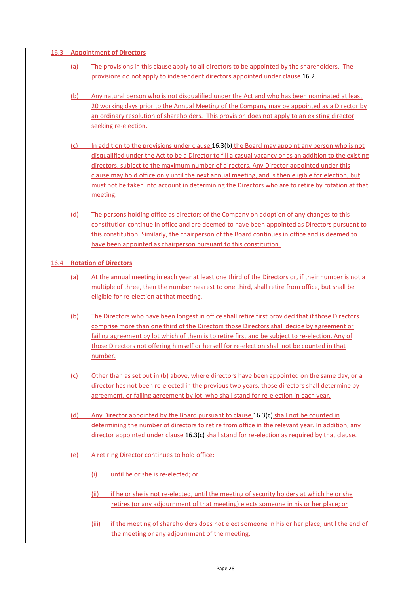### <span id="page-32-0"></span>16.3 **Appointment of Directors**

- (a) The provisions in this clause apply to all directors to be appointed by the shareholders. The provisions do not apply to independent directors appointed under claus[e 16.2.](#page-31-7)
- <span id="page-32-2"></span>(b) Any natural person who is not disqualified under the Act and who has been nominated at least 20 working days prior to the Annual Meeting of the Company may be appointed as a Director by an ordinary resolution of shareholders. This provision does not apply to an existing director seeking re-election.
- <span id="page-32-3"></span>(c) In addition to the provisions under claus[e 16.3](#page-32-0)[\(b\)](#page-32-2) the Board may appoint any person who is not disqualified under the Act to be a Director to fill a casual vacancy or as an addition to the existing directors, subject to the maximum number of directors. Any Director appointed under this clause may hold office only until the next annual meeting, and is then eligible for election, but must not be taken into account in determining the Directors who are to retire by rotation at that meeting.
- (d) The persons holding office as directors of the Company on adoption of any changes to this constitution continue in office and are deemed to have been appointed as Directors pursuant to this constitution. Similarly, the chairperson of the Board continues in office and is deemed to have been appointed as chairperson pursuant to this constitution.

## <span id="page-32-1"></span>16.4 **Rotation of Directors**

- (a) At the annual meeting in each year at least one third of the Directors or, if their number is not a multiple of three, then the number nearest to one third, shall retire from office, but shall be eligible for re-election at that meeting.
- (b) The Directors who have been longest in office shall retire first provided that if those Directors comprise more than one third of the Directors those Directors shall decide by agreement or failing agreement by lot which of them is to retire first and be subject to re-election. Any of those Directors not offering himself or herself for re-election shall not be counted in that number.
- (c) Other than as set out in (b) above, where directors have been appointed on the same day, or a director has not been re-elected in the previous two years, those directors shall determine by agreement, or failing agreement by lot, who shall stand for re-election in each year.
- (d) Any Director appointed by the Board pursuant to claus[e 16.3\(c\)](#page-32-3) shall not be counted in determining the number of directors to retire from office in the relevant year. In addition, any director appointed under claus[e 16.3\(c\)](#page-32-3) shall stand for re-election as required by that clause.
- (e) A retiring Director continues to hold office:
	- (i) <u>until he or she is re-elected; or</u>
	- (ii) if he or she is not re-elected, until the meeting of security holders at which he or she retires (or any adjournment of that meeting) elects someone in his or her place; or
	- (iii) if the meeting of shareholders does not elect someone in his or her place, until the end of the meeting or any adjournment of the meeting.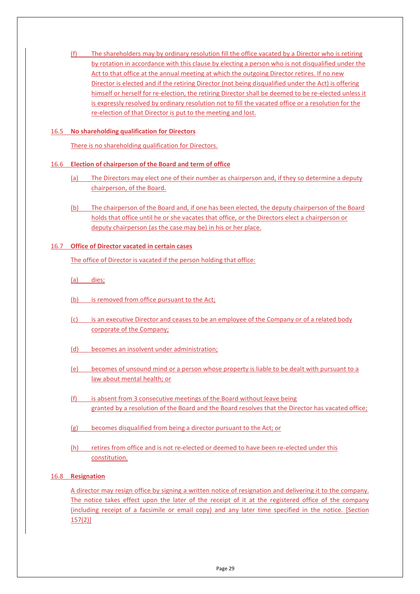(f) The shareholders may by ordinary resolution fill the office vacated by a Director who is retiring by rotation in accordance with this clause by electing a person who is not disqualified under the Act to that office at the annual meeting at which the outgoing Director retires. If no new Director is elected and if the retiring Director (not being disqualified under the Act) is offering himself or herself for re-election, the retiring Director shall be deemed to be re-elected unless it is expressly resolved by ordinary resolution not to fill the vacated office or a resolution for the re-election of that Director is put to the meeting and lost.

### <span id="page-33-0"></span>16.5 **No shareholding qualification for Directors**

There is no shareholding qualification for Directors.

#### <span id="page-33-1"></span>16.6 **Election of chairperson of the Board and term of office**

- (a) The Directors may elect one of their number as chairperson and, if they so determine a deputy chairperson, of the Board.
- (b) The chairperson of the Board and, if one has been elected, the deputy chairperson of the Board holds that office until he or she vacates that office, or the Directors elect a chairperson or deputy chairperson (as the case may be) in his or her place.

#### <span id="page-33-2"></span>16.7 **Office of Director vacated in certain cases**

The office of Director is vacated if the person holding that office:

- (a) dies;
- (b) is removed from office pursuant to the Act;
- (c) is an executive Director and ceases to be an employee of the Company or of a related body corporate of the Company;
- (d) becomes an insolvent under administration;
- (e) becomes of unsound mind or a person whose property is liable to be dealt with pursuant to a law about mental health; or
- (f) is absent from 3 consecutive meetings of the Board without leave being granted by a resolution of the Board and the Board resolves that the Director has vacated office;
- (g) becomes disqualified from being a director pursuant to the Act; or
- (h) retires from office and is not re-elected or deemed to have been re-elected under this constitution.

#### <span id="page-33-3"></span>16.8 **Resignation**

A director may resign office by signing a written notice of resignation and delivering it to the company. The notice takes effect upon the later of the receipt of it at the registered office of the company (including receipt of a facsimile or email copy) and any later time specified in the notice. [Section 157(2)]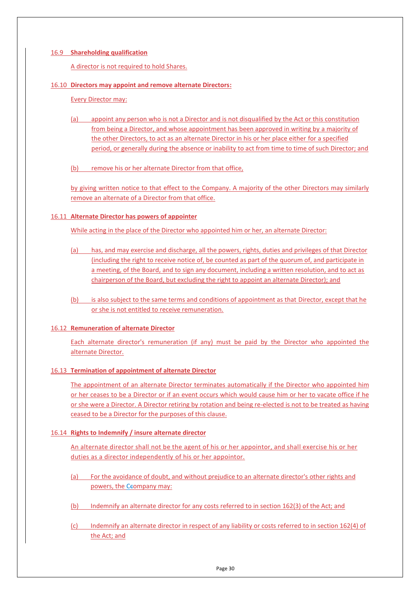### <span id="page-34-0"></span>16.9 **Shareholding qualification**

A director is not required to hold Shares.

#### <span id="page-34-1"></span>16.10 **Directors may appoint and remove alternate Directors:**

Every Director may:

(a) appoint any person who is not a Director and is not disqualified by the Act or this constitution from being a Director, and whose appointment has been approved in writing by a majority of the other Directors, to act as an alternate Director in his or her place either for a specified period, or generally during the absence or inability to act from time to time of such Director; and

(b) remove his or her alternate Director from that office,

by giving written notice to that effect to the Company. A majority of the other Directors may similarly remove an alternate of a Director from that office.

#### <span id="page-34-2"></span>16.11 **Alternate Director has powers of appointer**

While acting in the place of the Director who appointed him or her, an alternate Director:

- (a) has, and may exercise and discharge, all the powers, rights, duties and privileges of that Director (including the right to receive notice of, be counted as part of the quorum of, and participate in a meeting, of the Board, and to sign any document, including a written resolution, and to act as chairperson of the Board, but excluding the right to appoint an alternate Director); and
- (b) is also subject to the same terms and conditions of appointment as that Director, except that he or she is not entitled to receive remuneration.

## <span id="page-34-3"></span>16.12 **Remuneration of alternate Director**

Each alternate director's remuneration (if any) must be paid by the Director who appointed the alternate Director.

#### <span id="page-34-4"></span>16.13 **Termination of appointment of alternate Director**

The appointment of an alternate Director terminates automatically if the Director who appointed him or her ceases to be a Director or if an event occurs which would cause him or her to vacate office if he or she were a Director. A Director retiring by rotation and being re-elected is not to be treated as having ceased to be a Director for the purposes of this clause.

#### <span id="page-34-5"></span>16.14 **Rights to Indemnify / insure alternate director**

An alternate director shall not be the agent of his or her appointor, and shall exercise his or her duties as a director independently of his or her appointor.

- (a) For the avoidance of doubt, and without prejudice to an alternate director's other rights and powers, the Ceompany may:
- (b) Indemnify an alternate director for any costs referred to in section 162(3) of the Act; and
- (c) Indemnify an alternate director in respect of any liability or costs referred to in section 162(4) of the Act; and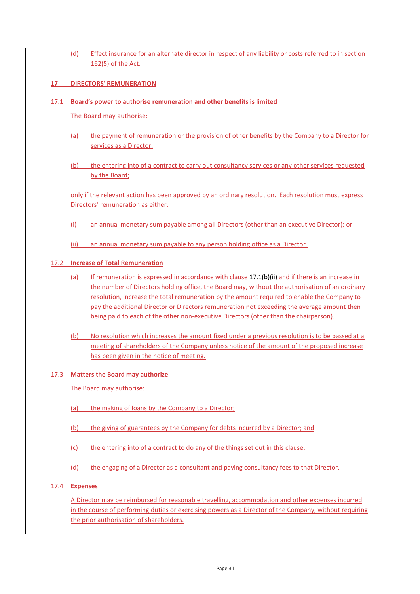(d) Effect insurance for an alternate director in respect of any liability or costs referred to in section 162(5) of the Act.

## **17 DIRECTORS' REMUNERATION**

#### <span id="page-35-0"></span>17.1 **Board's power to authorise remuneration and other benefits is limited**

The Board may authorise:

- (a) the payment of remuneration or the provision of other benefits by the Company to a Director for services as a Director;
- (b) the entering into of a contract to carry out consultancy services or any other services requested by the Board;

only if the relevant action has been approved by an ordinary resolution. Each resolution must express Directors' remuneration as either:

- (i) an annual monetary sum payable among all Directors (other than an executive Director); or
- (ii) an annual monetary sum payable to any person holding office as a Director.

#### <span id="page-35-4"></span><span id="page-35-1"></span>17.2 **Increase of Total Remuneration**

- (a) If remuneration is expressed in accordance with clause  $17.1(b)(ii)$  and if there is an increase in the number of Directors holding office, the Board may, without the authorisation of an ordinary resolution, increase the total remuneration by the amount required to enable the Company to pay the additional Director or Directors remuneration not exceeding the average amount then being paid to each of the other non-executive Directors (other than the chairperson).
- (b) No resolution which increases the amount fixed under a previous resolution is to be passed at a meeting of shareholders of the Company unless notice of the amount of the proposed increase has been given in the notice of meeting.

#### <span id="page-35-2"></span>17.3 **Matters the Board may authorize**

The Board may authorise:

- (a) the making of loans by the Company to a Director;
- (b) the giving of guarantees by the Company for debts incurred by a Director; and
- (c) the entering into of a contract to do any of the things set out in this clause;
- (d) the engaging of a Director as a consultant and paying consultancy fees to that Director.

#### <span id="page-35-3"></span>17.4 **Expenses**

A Director may be reimbursed for reasonable travelling, accommodation and other expenses incurred in the course of performing duties or exercising powers as a Director of the Company, without requiring the prior authorisation of shareholders.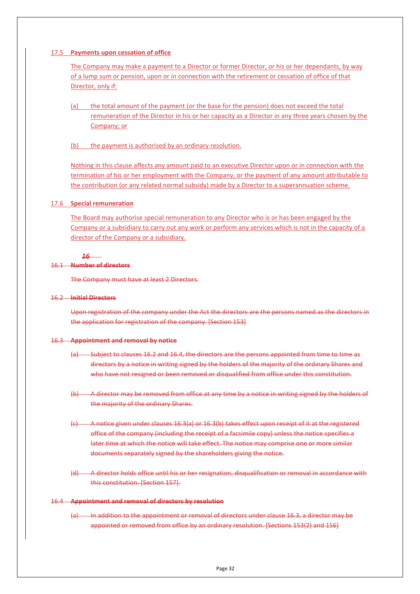#### <span id="page-36-0"></span>17.5 **Payments upon cessation of office**

The Company may make a payment to a Director or former Director, or his or her dependants, by way of a lump sum or pension, upon or in connection with the retirement or cessation of office of that Director, only if:

- (a) the total amount of the payment (or the base for the pension) does not exceed the total remuneration of the Director in his or her capacity as a Director in any three years chosen by the Company; or
- (b) the payment is authorised by an ordinary resolution.

Nothing in this clause affects any amount paid to an executive Director upon or in connection with the termination of his or her employment with the Company, or the payment of any amount attributable to the contribution (or any related normal subsidy) made by a Director to a superannuation scheme.

#### <span id="page-36-1"></span>17.6 **Special remuneration**

The Board may authorise special remuneration to any Director who is or has been engaged by the Company or a subsidiary to carry out any work or perform any services which is not in the capacity of a director of the Company or a subsidiary.

#### *16*

#### 16.1 **Number of directors**

The Company must have at least 2 Directors.

#### <span id="page-36-2"></span>16.2 **Initial Directors**

Upon registration of the company under the Act the directors are the persons named as the directors in the application for registration of the company. [Section 153]

#### <span id="page-36-5"></span><span id="page-36-4"></span>16.3 **Appointment and removal by notice**

- (a) Subject to clause[s 16.2](#page-36-2) and [16.4,](#page-36-3) the directors are the persons appointed from time to time as directors by a notice in writing signed by the holders of the majority of the ordinary Shares and who have not resigned or been removed or disqualified from office under this constitution.
- <span id="page-36-6"></span>(b) A director may be removed from office at any time by a notice in writing signed by the holders of the majority of the ordinary Shares.
- (c) A notice given under clause[s 16.3](#page-36-4)[\(a\)](#page-36-5) or [16.3](#page-36-4)[\(b\)](#page-36-6) takes effect upon receipt of it at the registered office of the company (including the receipt of a facsimile copy) unless the notice specifies a later time at which the notice will take effect. The notice may comprise one or more similar documents separately signed by the shareholders giving the notice.
- (d) A director holds office until his or her resignation, disqualification or removal in accordance with this constitution. [Section 157].

#### <span id="page-36-3"></span>16.4 **Appointment and removal of directors by resolution**

(a) In addition to the appointment or removal of directors under clause [16.3,](#page-36-4) a director may be appointed or removed from office by an ordinary resolution. [Sections 153(2) and 156]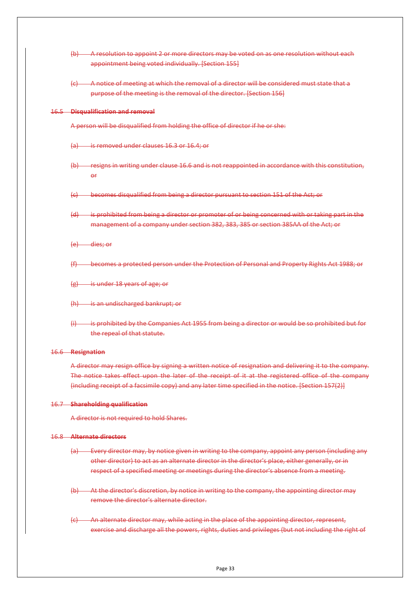|                            | (b) A resolution to appoint 2 or more directors may be voted on as one resolution without each                      |  |  |
|----------------------------|---------------------------------------------------------------------------------------------------------------------|--|--|
|                            | appointment being voted individually. [Section 155]                                                                 |  |  |
|                            | (c) A notice of meeting at which the removal of a director will be considered must state that a                     |  |  |
|                            | purpose of the meeting is the removal of the director. [Section 156]                                                |  |  |
|                            | 16.5 Disqualification and removal                                                                                   |  |  |
|                            | A person will be disqualified from holding the office of director if he or she:                                     |  |  |
|                            | (a) is removed under clauses 16.3 or 16.4; or                                                                       |  |  |
|                            | (b) resigns in writing under clause 16.6 and is not reappointed in accordance with this constitution,<br>$\theta$ f |  |  |
|                            | (c) becomes disqualified from being a director pursuant to section 151 of the Act; or                               |  |  |
|                            | (d) is prohibited from being a director or promoter of or being concerned with or taking part in the                |  |  |
|                            | management of a company under section 382, 383, 385 or section 385AA of the Act; or                                 |  |  |
|                            | $(e)$ dies; or                                                                                                      |  |  |
| (f)                        | becomes a protected person under the Protection of Personal and Property Rights Act 1988; or                        |  |  |
| $\left(\frac{1}{2}\right)$ | is under 18 years of age; or                                                                                        |  |  |
|                            | (h) is an undischarged bankrupt; or                                                                                 |  |  |
| $\leftrightarrow$          | is prohibited by the Companies Act 1955 from being a director or would be so prohibited but for                     |  |  |
|                            | the repeal of that statute.                                                                                         |  |  |
|                            | 16.6 Resignation                                                                                                    |  |  |
|                            | A director may resign office by signing a written notice of resignation and delivering it to the company.           |  |  |
|                            | The notice takes effect upon the later of the receipt of it at the registered office of the company                 |  |  |
|                            | (including receipt of a facsimile copy) and any later time specified in the notice. [Section 157(2)]                |  |  |
|                            | 16.7 Shareholding qualification                                                                                     |  |  |
|                            | A director is not required to hold Shares.                                                                          |  |  |
|                            | 16.8 Alternate directors                                                                                            |  |  |
|                            |                                                                                                                     |  |  |

- <span id="page-37-2"></span><span id="page-37-1"></span><span id="page-37-0"></span>(a) Every director may, by notice given in writing to the company, appoint any person (including any other director) to act as an alternate director in the director's place, either generally, or in respect of a specified meeting or meetings during the director's absence from a meeting.
- (b) At the director's discretion, by notice in writing to the company, the appointing director may remove the director's alternate director.
- (c) An alternate director may, while acting in the place of the appointing director, represent, exercise and discharge all the powers, rights, duties and privileges (but not including the right of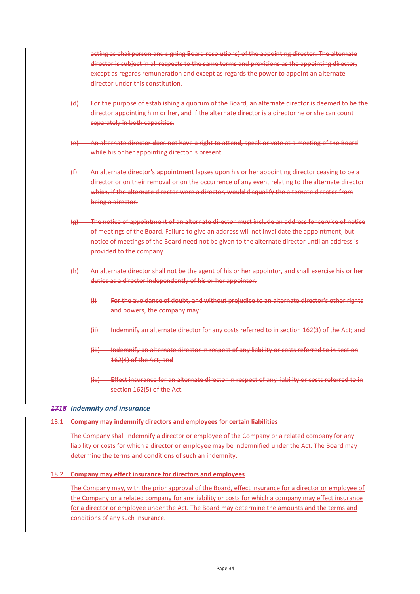acting as chairperson and signing Board resolutions) of the appointing director. The alternate director is subject in all respects to the same terms and provisions as the appointing director, except as regards remuneration and except as regards the power to appoint an alternate director under this constitution.

- For the purpose of establishing a quorum of the Board, an alternate director is deemed to be the director appointing him or her, and if the alternate director is a director he or she can count separately in both capacities.
- An alternate director does not have a right to attend, speak or vote at a meeting of the Board while his or her appointing director is present.
- An alternate director's appointment lapses upon his or her appointing director ceasing to be a director or on their removal or on the occurrence of any event relating to the alternate director which, if the alternate director were a director, would disqualify the alternate director from being a director.
- <span id="page-38-3"></span>The notice of appointment of an alternate director must include an address for service of notice of meetings of the Board. Failure to give an address will not invalidate the appointment, but notice of meetings of the Board need not be given to the alternate director until an address is provided to the company.
- (h) An alternate director shall not be the agent of his or her appointor, and shall exercise his or her duties as a director independently of his or her appointor.
	- For the avoidance of doubt, and without prejudice to an alternate director's other rights and powers, the company may:
	- Indemnify an alternate director for any costs referred to in section 162(3) of the Act; and
	- (iii) Indemnify an alternate director in respect of any liability or costs referred to in section 162(4) of the Act; and
	- (iv) Effect insurance for an alternate director in respect of any liability or costs referred to in section 162(5) of the Act.

#### <span id="page-38-0"></span>*1718 Indemnity and insurance*

#### <span id="page-38-1"></span>18.1 **Company may indemnify directors and employees for certain liabilities**

The Company shall indemnify a director or employee of the Company or a related company for any liability or costs for which a director or employee may be indemnified under the Act. The Board may determine the terms and conditions of such an indemnity.

#### <span id="page-38-2"></span>18.2 **Company may effect insurance for directors and employees**

The Company may, with the prior approval of the Board, effect insurance for a director or employee of the Company or a related company for any liability or costs for which a company may effect insurance for a director or employee under the Act. The Board may determine the amounts and the terms and conditions of any such insurance.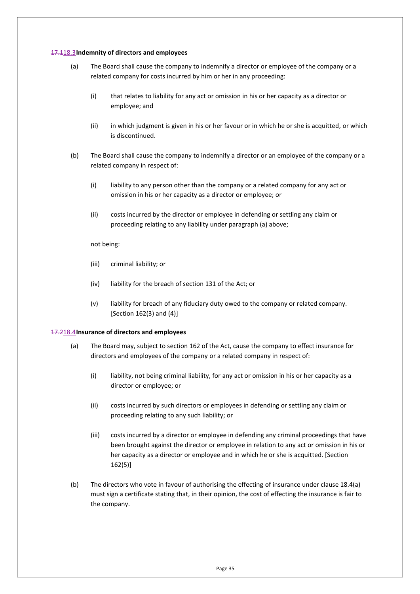#### <span id="page-39-0"></span>17.118.3**Indemnity of directors and employees**

- (a) The Board shall cause the company to indemnify a director or employee of the company or a related company for costs incurred by him or her in any proceeding:
	- (i) that relates to liability for any act or omission in his or her capacity as a director or employee; and
	- (ii) in which judgment is given in his or her favour or in which he or she is acquitted, or which is discontinued.
- (b) The Board shall cause the company to indemnify a director or an employee of the company or a related company in respect of:
	- (i) liability to any person other than the company or a related company for any act or omission in his or her capacity as a director or employee; or
	- (ii) costs incurred by the director or employee in defending or settling any claim or proceeding relating to any liability under paragraph (a) above;

#### not being:

- (iii) criminal liability; or
- (iv) liability for the breach of section 131 of the Act; or
- (v) liability for breach of any fiduciary duty owed to the company or related company. [Section 162(3) and (4)]

#### <span id="page-39-2"></span><span id="page-39-1"></span>17.218.4**Insurance of directors and employees**

- (a) The Board may, subject to section 162 of the Act, cause the company to effect insurance for directors and employees of the company or a related company in respect of:
	- (i) liability, not being criminal liability, for any act or omission in his or her capacity as a director or employee; or
	- (ii) costs incurred by such directors or employees in defending or settling any claim or proceeding relating to any such liability; or
	- (iii) costs incurred by a director or employee in defending any criminal proceedings that have been brought against the director or employee in relation to any act or omission in his or her capacity as a director or employee and in which he or she is acquitted. [Section 162(5)]
- (b) The directors who vote in favour of authorising the effecting of insurance under claus[e 18.4](#page-39-1)[\(a\)](#page-39-2) must sign a certificate stating that, in their opinion, the cost of effecting the insurance is fair to the company.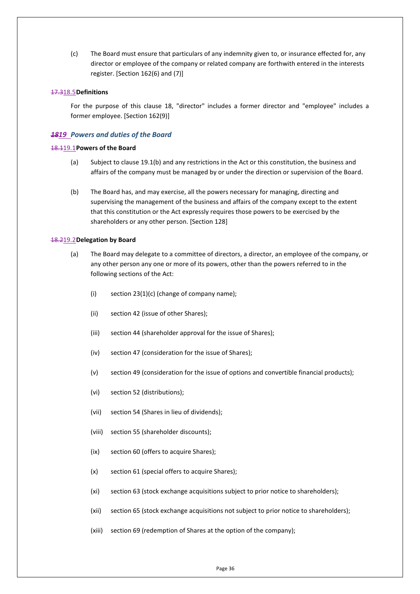(c) The Board must ensure that particulars of any indemnity given to, or insurance effected for, any director or employee of the company or related company are forthwith entered in the interests register. [Section 162(6) and (7)]

#### <span id="page-40-0"></span>17.318.5**Definitions**

For the purpose of this clause [18,](#page-38-0) "director" includes a former director and "employee" includes a former employee. [Section 162(9)]

#### <span id="page-40-1"></span>*1819 Powers and duties of the Board*

#### <span id="page-40-2"></span>18.119.1**Powers of the Board**

- (a) Subject to claus[e 19.1](#page-40-2)[\(b\)](#page-40-4) and any restrictions in the Act or this constitution, the business and affairs of the company must be managed by or under the direction or supervision of the Board.
- <span id="page-40-4"></span>(b) The Board has, and may exercise, all the powers necessary for managing, directing and supervising the management of the business and affairs of the company except to the extent that this constitution or the Act expressly requires those powers to be exercised by the shareholders or any other person. [Section 128]

#### <span id="page-40-5"></span><span id="page-40-3"></span>18.219.2**Delegation by Board**

- (a) The Board may delegate to a committee of directors, a director, an employee of the company, or any other person any one or more of its powers, other than the powers referred to in the following sections of the Act:
	- (i) section  $23(1)(c)$  (change of company name);
	- (ii) section 42 (issue of other Shares);
	- (iii) section 44 (shareholder approval for the issue of Shares);
	- (iv) section 47 (consideration for the issue of Shares);
	- (v) section 49 (consideration for the issue of options and convertible financial products);
	- (vi) section 52 (distributions);
	- (vii) section 54 (Shares in lieu of dividends);
	- (viii) section 55 (shareholder discounts);
	- (ix) section 60 (offers to acquire Shares);
	- (x) section 61 (special offers to acquire Shares);
	- (xi) section 63 (stock exchange acquisitions subject to prior notice to shareholders);
	- (xii) section 65 (stock exchange acquisitions not subject to prior notice to shareholders);
	- (xiii) section 69 (redemption of Shares at the option of the company);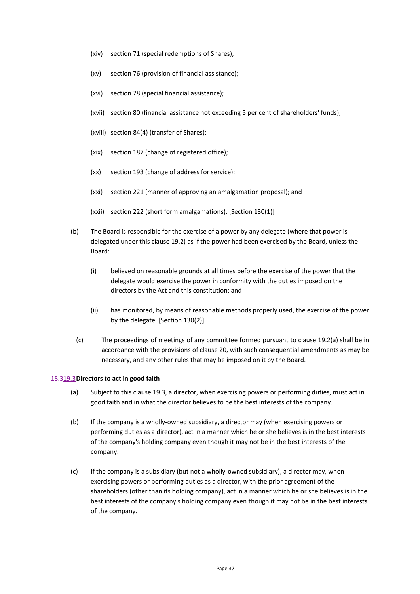- (xiv) section 71 (special redemptions of Shares);
- (xv) section 76 (provision of financial assistance);
- (xvi) section 78 (special financial assistance);
- (xvii) section 80 (financial assistance not exceeding 5 per cent of shareholders' funds);
- (xviii) section 84(4) (transfer of Shares);
- (xix) section 187 (change of registered office);
- (xx) section 193 (change of address for service);
- (xxi) section 221 (manner of approving an amalgamation proposal); and
- (xxii) section 222 (short form amalgamations). [Section 130(1)]
- (b) The Board is responsible for the exercise of a power by any delegate (where that power is delegated under this clause [19.2\)](#page-40-3) as if the power had been exercised by the Board, unless the Board:
	- (i) believed on reasonable grounds at all times before the exercise of the power that the delegate would exercise the power in conformity with the duties imposed on the directors by the Act and this constitution; and
	- (ii) has monitored, by means of reasonable methods properly used, the exercise of the power by the delegate. [Section 130(2)]
	- (c) The proceedings of meetings of any committee formed pursuant to clause [19.2](#page-40-3)[\(a\)](#page-40-5) shall be in accordance with the provisions of clause [20,](#page-42-1) with such consequential amendments as may be necessary, and any other rules that may be imposed on it by the Board.

#### <span id="page-41-0"></span>18.319.3**Directors to act in good faith**

- (a) Subject to this clause [19.3,](#page-41-0) a director, when exercising powers or performing duties, must act in good faith and in what the director believes to be the best interests of the company.
- (b) If the company is a wholly-owned subsidiary, a director may (when exercising powers or performing duties as a director), act in a manner which he or she believes is in the best interests of the company's holding company even though it may not be in the best interests of the company.
- (c) If the company is a subsidiary (but not a wholly-owned subsidiary), a director may, when exercising powers or performing duties as a director, with the prior agreement of the shareholders (other than its holding company), act in a manner which he or she believes is in the best interests of the company's holding company even though it may not be in the best interests of the company.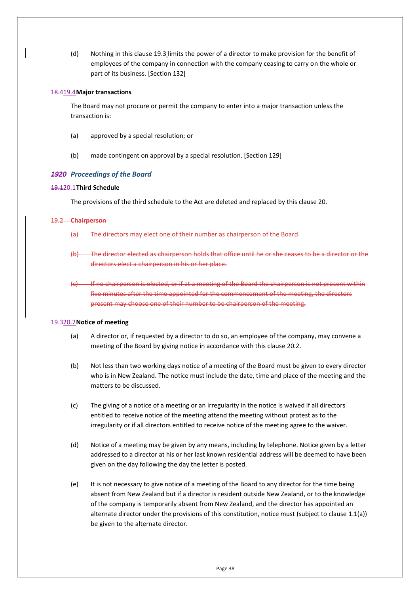(d) Nothing in this clause [19.3](#page-41-0) limits the power of a director to make provision for the benefit of employees of the company in connection with the company ceasing to carry on the whole or part of its business. [Section 132]

#### <span id="page-42-0"></span>18.419.4**Major transactions**

The Board may not procure or permit the company to enter into a major transaction unless the transaction is:

- (a) approved by a special resolution; or
- (b) made contingent on approval by a special resolution. [Section 129]

#### <span id="page-42-1"></span>*1920 Proceedings of the Board*

#### <span id="page-42-2"></span>19.120.1**Third Schedule**

The provisions of the third schedule to the Act are deleted and replaced by this clause [20.](#page-42-1)

#### 19.2 **Chairperson**

- (a) The directors may elect one of their number as chairperson of the Board.
- (b) The director elected as chairperson holds that office until he or she ceases to be a director or the directors elect a chairperson in his or her place.
- <span id="page-42-4"></span>(c) If no chairperson is elected, or if at a meeting of the Board the chairperson is not present within five minutes after the time appointed for the commencement of the meeting, the directors present may choose one of their number to be chairperson of the meeting.

#### <span id="page-42-3"></span>19.320.2**Notice of meeting**

- (a) A director or, if requested by a director to do so, an employee of the company, may convene a meeting of the Board by giving notice in accordance with this clause [20.2.](#page-42-3)
- (b) Not less than two working days notice of a meeting of the Board must be given to every director who is in New Zealand. The notice must include the date, time and place of the meeting and the matters to be discussed.
- (c) The giving of a notice of a meeting or an irregularity in the notice is waived if all directors entitled to receive notice of the meeting attend the meeting without protest as to the irregularity or if all directors entitled to receive notice of the meeting agree to the waiver.
- (d) Notice of a meeting may be given by any means, including by telephone. Notice given by a letter addressed to a director at his or her last known residential address will be deemed to have been given on the day following the day the letter is posted.
- (e) It is not necessary to give notice of a meeting of the Board to any director for the time being absent from New Zealand but if a director is resident outside New Zealand, or to the knowledge of the company is temporarily absent from New Zealand, and the director has appointed an alternate director under the provisions of this constitution, notice must (subject to clause [1.1\(a\)\)](#page-38-3) be given to the alternate director.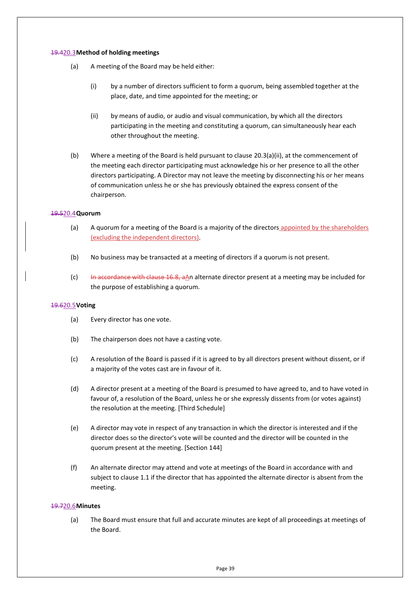#### <span id="page-43-0"></span>19.420.3**Method of holding meetings**

- (a) A meeting of the Board may be held either:
	- (i) by a number of directors sufficient to form a quorum, being assembled together at the place, date, and time appointed for the meeting; or
	- (ii) by means of audio, or audio and visual communication, by which all the directors participating in the meeting and constituting a quorum, can simultaneously hear each other throughout the meeting.
- <span id="page-43-4"></span>(b) Where a meeting of the Board is held pursuant to clause  $20.3(a)(ii)$ , at the commencement of the meeting each director participating must acknowledge his or her presence to all the other directors participating. A Director may not leave the meeting by disconnecting his or her means of communication unless he or she has previously obtained the express consent of the chairperson.

#### <span id="page-43-1"></span>19.520.4**Quorum**

- (a) A quorum for a meeting of the Board is a majority of the directors appointed by the shareholders (excluding the independent directors).
- (b) No business may be transacted at a meeting of directors if a quorum is not present.
- (c) In accordance with clause [16.8,](#page-37-2) aAn alternate director present at a meeting may be included for the purpose of establishing a quorum.

#### <span id="page-43-2"></span>19.620.5**Voting**

- (a) Every director has one vote.
- (b) The chairperson does not have a casting vote.
- (c) A resolution of the Board is passed if it is agreed to by all directors present without dissent, or if a majority of the votes cast are in favour of it.
- (d) A director present at a meeting of the Board is presumed to have agreed to, and to have voted in favour of, a resolution of the Board, unless he or she expressly dissents from (or votes against) the resolution at the meeting. [Third Schedule]
- (e) A director may vote in respect of any transaction in which the director is interested and if the director does so the director's vote will be counted and the director will be counted in the quorum present at the meeting. [Section 144]
- (f) An alternate director may attend and vote at meetings of the Board in accordance with and subject to clause [1.1](#page-37-2) if the director that has appointed the alternate director is absent from the meeting.

#### <span id="page-43-3"></span>19.720.6**Minutes**

(a) The Board must ensure that full and accurate minutes are kept of all proceedings at meetings of the Board.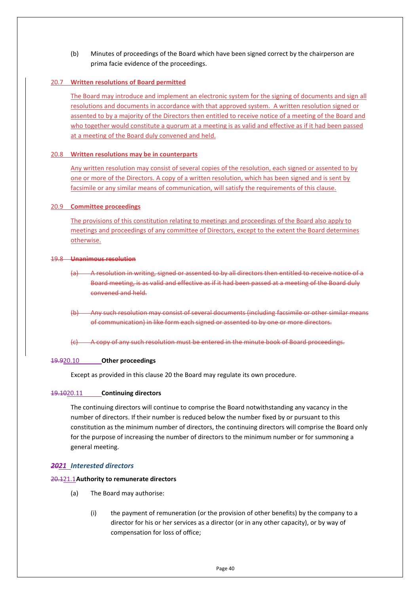(b) Minutes of proceedings of the Board which have been signed correct by the chairperson are prima facie evidence of the proceedings.

## <span id="page-44-0"></span>20.7 **Written resolutions of Board permitted**

The Board may introduce and implement an electronic system for the signing of documents and sign all resolutions and documents in accordance with that approved system. A written resolution signed or assented to by a majority of the Directors then entitled to receive notice of a meeting of the Board and who together would constitute a quorum at a meeting is as valid and effective as if it had been passed at a meeting of the Board duly convened and held.

#### <span id="page-44-1"></span>20.8 **Written resolutions may be in counterparts**

Any written resolution may consist of several copies of the resolution, each signed or assented to by one or more of the Directors. A copy of a written resolution, which has been signed and is sent by facsimile or any similar means of communication, will satisfy the requirements of this clause.

#### <span id="page-44-2"></span>20.9 **Committee proceedings**

The provisions of this constitution relating to meetings and proceedings of the Board also apply to meetings and proceedings of any committee of Directors, except to the extent the Board determines otherwise.

#### 19.8 **Unanimous resolution**

- (a) A resolution in writing, signed or assented to by all directors then entitled to receive notice of a Board meeting, is as valid and effective as if it had been passed at a meeting of the Board duly convened and held.
- (b) Any such resolution may consist of several documents (including facsimile or other similar means of communication) in like form each signed or assented to by one or more directors.
- (c) A copy of any such resolution must be entered in the minute book of Board proceedings.

#### <span id="page-44-3"></span>19.920.10 **Other proceedings**

Except as provided in this clause [20](#page-42-1) the Board may regulate its own procedure.

#### <span id="page-44-4"></span>19.1020.11 **Continuing directors**

The continuing directors will continue to comprise the Board notwithstanding any vacancy in the number of directors. If their number is reduced below the number fixed by or pursuant to this constitution as the minimum number of directors, the continuing directors will comprise the Board only for the purpose of increasing the number of directors to the minimum number or for summoning a general meeting.

#### <span id="page-44-5"></span>*2021 Interested directors*

#### <span id="page-44-7"></span><span id="page-44-6"></span>20.121.1**Authority to remunerate directors**

- (a) The Board may authorise:
	- (i) the payment of remuneration (or the provision of other benefits) by the company to a director for his or her services as a director (or in any other capacity), or by way of compensation for loss of office;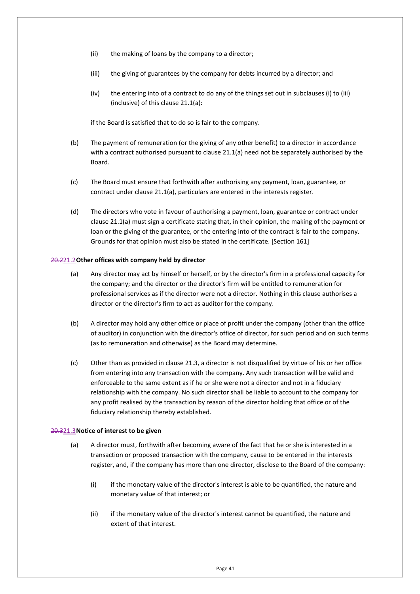- (ii) the making of loans by the company to a director;
- (iii) the giving of guarantees by the company for debts incurred by a director; and
- (iv) the entering into of a contract to do any of the things set out in subclauses (i) to (iii) (inclusive) of this clause [21.1](#page-44-6)[\(a\):](#page-44-7)

if the Board is satisfied that to do so is fair to the company.

- (b) The payment of remuneration (or the giving of any other benefit) to a director in accordance with a contract authorised pursuant to clause [21.1](#page-44-6)[\(a\)](#page-44-7) need not be separately authorised by the Board.
- (c) The Board must ensure that forthwith after authorising any payment, loan, guarantee, or contract under clause [21.1](#page-44-6)[\(a\),](#page-44-7) particulars are entered in the interests register.
- (d) The directors who vote in favour of authorising a payment, loan, guarantee or contract under clause [21.1](#page-44-6)[\(a\)](#page-44-7) must sign a certificate stating that, in their opinion, the making of the payment or loan or the giving of the guarantee, or the entering into of the contract is fair to the company. Grounds for that opinion must also be stated in the certificate. [Section 161]

#### <span id="page-45-0"></span>20.221.2**Other offices with company held by director**

- (a) Any director may act by himself or herself, or by the director's firm in a professional capacity for the company; and the director or the director's firm will be entitled to remuneration for professional services as if the director were not a director. Nothing in this clause authorises a director or the director's firm to act as auditor for the company.
- (b) A director may hold any other office or place of profit under the company (other than the office of auditor) in conjunction with the director's office of director, for such period and on such terms (as to remuneration and otherwise) as the Board may determine.
- (c) Other than as provided in claus[e 21.3,](#page-45-1) a director is not disqualified by virtue of his or her office from entering into any transaction with the company. Any such transaction will be valid and enforceable to the same extent as if he or she were not a director and not in a fiduciary relationship with the company. No such director shall be liable to account to the company for any profit realised by the transaction by reason of the director holding that office or of the fiduciary relationship thereby established.

#### <span id="page-45-2"></span><span id="page-45-1"></span>20.321.3**Notice of interest to be given**

- (a) A director must, forthwith after becoming aware of the fact that he or she is interested in a transaction or proposed transaction with the company, cause to be entered in the interests register, and, if the company has more than one director, disclose to the Board of the company:
	- (i) if the monetary value of the director's interest is able to be quantified, the nature and monetary value of that interest; or
	- (ii) if the monetary value of the director's interest cannot be quantified, the nature and extent of that interest.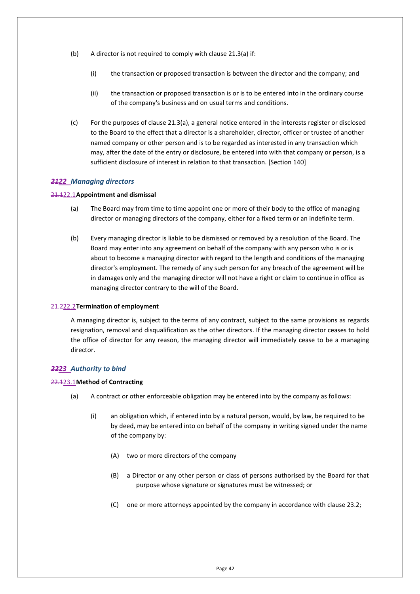- (b) A director is not required to comply with clause [21.3](#page-45-1)[\(a\)](#page-45-2) if:
	- (i) the transaction or proposed transaction is between the director and the company; and
	- (ii) the transaction or proposed transaction is or is to be entered into in the ordinary course of the company's business and on usual terms and conditions.
- (c) For the purposes of clause [21.3](#page-45-1)[\(a\),](#page-45-2) a general notice entered in the interests register or disclosed to the Board to the effect that a director is a shareholder, director, officer or trustee of another named company or other person and is to be regarded as interested in any transaction which may, after the date of the entry or disclosure, be entered into with that company or person, is a sufficient disclosure of interest in relation to that transaction. [Section 140]

#### <span id="page-46-0"></span>*2122 Managing directors*

#### <span id="page-46-1"></span>21.122.1**Appointment and dismissal**

- (a) The Board may from time to time appoint one or more of their body to the office of managing director or managing directors of the company, either for a fixed term or an indefinite term.
- (b) Every managing director is liable to be dismissed or removed by a resolution of the Board. The Board may enter into any agreement on behalf of the company with any person who is or is about to become a managing director with regard to the length and conditions of the managing director's employment. The remedy of any such person for any breach of the agreement will be in damages only and the managing director will not have a right or claim to continue in office as managing director contrary to the will of the Board.

#### <span id="page-46-2"></span>21.222.2**Termination of employment**

A managing director is, subject to the terms of any contract, subject to the same provisions as regards resignation, removal and disqualification as the other directors. If the managing director ceases to hold the office of director for any reason, the managing director will immediately cease to be a managing director.

#### <span id="page-46-3"></span>*2223 Authority to bind*

#### <span id="page-46-4"></span>22.123.1**Method of Contracting**

- <span id="page-46-5"></span>(a) A contract or other enforceable obligation may be entered into by the company as follows:
	- (i) an obligation which, if entered into by a natural person, would, by law, be required to be by deed, may be entered into on behalf of the company in writing signed under the name of the company by:
		- (A) two or more directors of the company
		- (B) a Director or any other person or class of persons authorised by the Board for that purpose whose signature or signatures must be witnessed; or
		- (C) one or more attorneys appointed by the company in accordance with clause [23.2;](#page-47-0)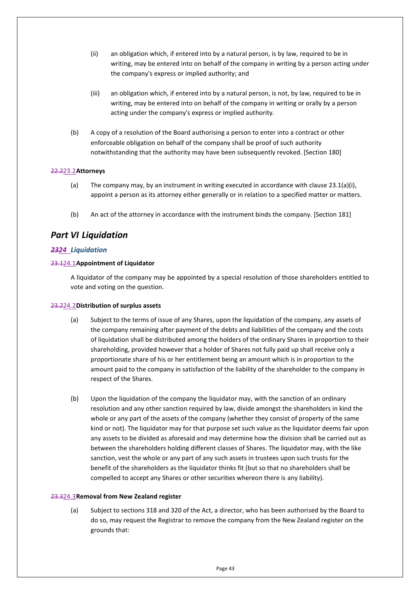- (ii) an obligation which, if entered into by a natural person, is by law, required to be in writing, may be entered into on behalf of the company in writing by a person acting under the company's express or implied authority; and
- (iii) an obligation which, if entered into by a natural person, is not, by law, required to be in writing, may be entered into on behalf of the company in writing or orally by a person acting under the company's express or implied authority.
- (b) A copy of a resolution of the Board authorising a person to enter into a contract or other enforceable obligation on behalf of the company shall be proof of such authority notwithstanding that the authority may have been subsequently revoked. [Section 180]

#### <span id="page-47-0"></span>22.223.2**Attorneys**

- (a) The company may, by an instrument in writing executed in accordance with clause [23.1\(a\)\(i\),](#page-46-5) appoint a person as its attorney either generally or in relation to a specified matter or matters.
- (b) An act of the attorney in accordance with the instrument binds the company. [Section 181]

## <span id="page-47-1"></span>*Part VI Liquidation*

## <span id="page-47-2"></span>*2324 Liquidation*

#### <span id="page-47-3"></span>23.124.1**Appointment of Liquidator**

A liquidator of the company may be appointed by a special resolution of those shareholders entitled to vote and voting on the question.

#### <span id="page-47-4"></span>23.224.2**Distribution of surplus assets**

- (a) Subject to the terms of issue of any Shares, upon the liquidation of the company, any assets of the company remaining after payment of the debts and liabilities of the company and the costs of liquidation shall be distributed among the holders of the ordinary Shares in proportion to their shareholding, provided however that a holder of Shares not fully paid up shall receive only a proportionate share of his or her entitlement being an amount which is in proportion to the amount paid to the company in satisfaction of the liability of the shareholder to the company in respect of the Shares.
- <span id="page-47-7"></span>(b) Upon the liquidation of the company the liquidator may, with the sanction of an ordinary resolution and any other sanction required by law, divide amongst the shareholders in kind the whole or any part of the assets of the company (whether they consist of property of the same kind or not). The liquidator may for that purpose set such value as the liquidator deems fair upon any assets to be divided as aforesaid and may determine how the division shall be carried out as between the shareholders holding different classes of Shares. The liquidator may, with the like sanction, vest the whole or any part of any such assets in trustees upon such trusts for the benefit of the shareholders as the liquidator thinks fit (but so that no shareholders shall be compelled to accept any Shares or other securities whereon there is any liability).

#### <span id="page-47-6"></span><span id="page-47-5"></span>23.324.3**Removal from New Zealand register**

(a) Subject to sections 318 and 320 of the Act, a director, who has been authorised by the Board to do so, may request the Registrar to remove the company from the New Zealand register on the grounds that: